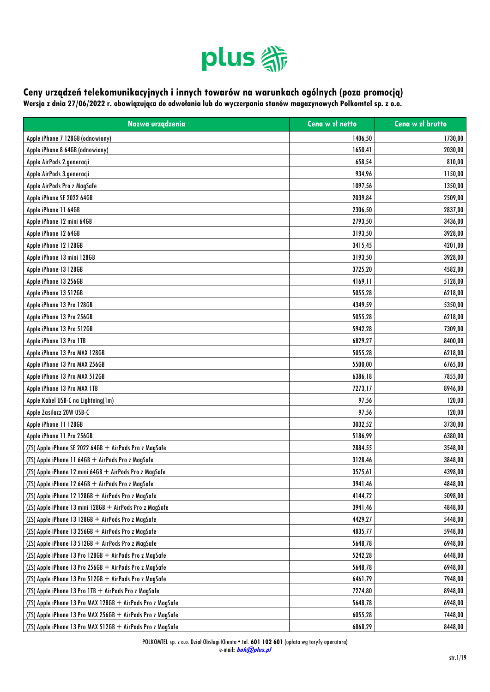

## **Ceny urządzeń telekomunikacyjnych i innych towarów na warunkach ogólnych (poza promocją) Wersja z dnia 27/06/2022 r. obowiązująca do odwołania lub do wyczerpania stanów magazynowych Polkomtel sp. z o.o.**

**Nazwa urządzenia Cena w zł netto Cena w zł brutto** Apple iPhone 7 128GB (odnowiony) 1730,00 1730,00 1730,00 1730,00 1730,00 1730,00 1730,00 1730,00 1730,00 1730,00 Apple iPhone 8 64GB (odnowiony) 1650,41 2030,00 Apple AirPods 2.generacji 610,000 (1990) 810,000 (1990) 858,54 810,000 (1990) 858,54 810,000 (1990) 810,000 (19 Apple AirPods 3.generacji 934,96 1150,00 Apple AirPods Pro z MagSafe 1350,00 Apple iPhone SE 2022 64GB 2509,00  $\,$  2039,84  $\,$  2039,84  $\,$  2039,84  $\,$  2039,84  $\,$ Apple iPhone 11 64GB 2306,50 2837,00 Apple iPhone 12 mini 64GB 2793,50 3436,00 Apple iPhone 12 64GB 3928,00 3928,00 3928,00 3928,00 3928,00 3928,00 3928,00 3928,00 3928,00 3928,00 3928,00 3 Apple iPhone 12 128GB 3415.45 4201.00 4201.00 Apple iPhone 13 mini 128GB 3928,00 Apple iPhone 13 128GB 3725,20 4582,00 Apple iPhone 13 256GB 4169, 11 (2008) 4169, 11 (2009) 4169, 11 (2009) 4169, 11 (2009) 4169, 11 (2009) 4169, 11 Apple iPhone 13 512GB 6218,00 Apple iPhone 13 Pro 128GB 4349,59 5350,00 Apple iPhone 13 Pro 256GB 6218,00 Apple iPhone 13 Pro 512GB 5942,28 7309,00 Apple iPhone 13 Pro 1TB 6829,27 8400,00 Apple iPhone 13 Pro MAX 128GB 5055,28 6218,00 Apple iPhone 13 Pro MAX 256GB 6765,00 6765,00 6765,00 6765,00 6765,00 6765,00 6765,00 6765,00 6765,00 Apple iPhone 13 Pro MAX 512GB 6386,18 7855,00 Apple iPhone 13 Pro MAX 1TB 8946,00 Apple Kabel USB-C na Lightning(1m) 97,56 120,00 Apple Zasilacz 20W USB-C 120,000 in the state of the control of the control of the control of the control of the control of the control of the control of the control of the control of the control of the control of the cont Apple iPhone 11 128GB 3730,00 Apple iPhone 11 Pro 256GB 6380,00 (ZS) Apple iPhone SE 2022 64GB + AirPods Pro z MagSafe 2884,55 3548,000 2884,55 3548,000 2884,55 3548,000 2884,55 3548,00 (ZS) Apple iPhone 11 64GB + AirPods Pro z MagSafe 3128,46 3848,00 (ZS) Apple iPhone 12 mini 64GB + AirPods Pro z MagSafe 3398,00 (ZS) Apple iPhone 12 64GB + AirPods Pro z MagSafe 3941,46 4848,00 (ZS) Apple iPhone 12 128GB + AirPods Pro z MagSafe 4144,72 5098,00 (ZS) Apple iPhone 13 mini 128GB + AirPods Pro z MagSafe 3941,46 4848,00 (ZS) Apple iPhone 13 128GB + AirPods Pro z MagSafe 4429,27 states and the state of the states of the states of the states of the states of the states of the states of the states of the states of the states of the states of (ZS) Apple iPhone 13 256GB + AirPods Pro z MagSafe 4835,77 5948,00  $\,$  5948,00  $\,$ (ZS) Apple iPhone 13 512GB + AirPods Pro z MagSafe 5648,00 to the set of the set of the set of the set of the set of the set of the set of the set of the set of the set of the set of the set of the set of the set of the se (ZS) Apple iPhone 13 Pro 128GB + AirPods Pro z MagSafe 5242,28 6448,00 (ZS) Apple iPhone 13 Pro 256GB + AirPods Pro z MagSafe 5648,78 6948,000 5648,78 6948,000 5648,78 6948,000 6948,000 6948,000 6948,000 6948,000 6948,000 6948,000 6948,000 6948,000 6948,000 6948,000 600 600 600 600 600 600 60 (ZS) Apple iPhone 13 Pro 512GB + AirPods Pro z MagSafe 6461,79 7948,00 (ZS) Apple iPhone 13 Pro 1TB + AirPods Pro z MagSafe 7274,80 8948,00 (ZS) Apple iPhone 13 Pro MAX 128GB + AirPods Pro z MagSafe 5648,78 6948,000 5648,78 6948,000 5648,78 6948,000 5648,78 6948,000 5648,78 6948,000 5648,78 6948,000 5648,78 6948,000 57648,78 6948,000 57648,78 6948,000 57648,78 (ZS) Apple iPhone 13 Pro MAX 256GB + AirPods Pro z MagSafe 6055,28 7448,00

(ZS) Apple iPhone 13 Pro MAX 512GB + AirPods Pro z MagSafe 6868,29 8448,00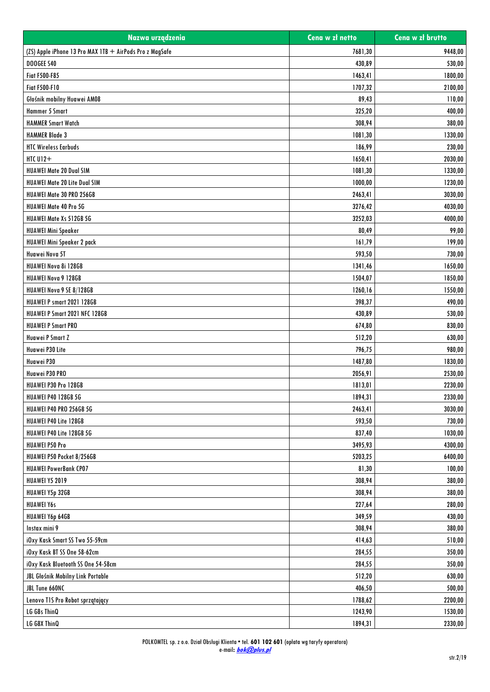| Nazwa urządzenia                                         | Cena w zł netto | Cena w zł brutto |
|----------------------------------------------------------|-----------------|------------------|
| (ZS) Apple iPhone 13 Pro MAX 1TB + AirPods Pro z MagSafe | 7681,30         | 9448,00          |
| DOOGEE S40                                               | 430,89          | 530,00           |
| <b>Fiat F500-F85</b>                                     | 1463,41         | 1800,00          |
| <b>Fiat F500-F10</b>                                     | 1707,32         | 2100,00          |
| Głośnik mobilny Huawei AM08                              | 89,43           | 110,00           |
| Hammer 5 Smart                                           | 325,20          | 400,00           |
| <b>HAMMER Smart Watch</b>                                | 308,94          | 380,00           |
| <b>HAMMER Blade 3</b>                                    | 1081,30         | 1330,00          |
| <b>HTC Wireless Earbuds</b>                              | 186,99          | 230,00           |
| HTC $U12+$                                               | 1650,41         | 2030,00          |
| <b>HUAWEI Mate 20 Dual SIM</b>                           | 1081,30         | 1330,00          |
| <b>HUAWEI Mate 20 Lite Dual SIM</b>                      | 1000,00         | 1230,00          |
| HUAWEI Mate 30 PRO 256GB                                 | 2463,41         | 3030,00          |
| HUAWEI Mate 40 Pro 5G                                    | 3276,42         | 4030,00          |
| HUAWEI Mate Xs 512GB 5G                                  | 3252,03         | 4000,00          |
| <b>HUAWEI Mini Speaker</b>                               | 80,49           | 99,00            |
| HUAWEI Mini Speaker 2 pack                               | 161,79          | 199,00           |
| Huawei Nova 5T                                           | 593,50          | 730,00           |
| HUAWEI Nova 8i 128GB                                     | 1341,46         | 1650,00          |
| HUAWEI Nova 9 128GB                                      | 1504,07         | 1850,00          |
| HUAWEI Nova 9 SE 8/128GB                                 | 1260,16         | 1550,00          |
| <b>HUAWEI P smart 2021 128GB</b>                         | 398,37          | 490,00           |
| HUAWEI P Smart 2021 NFC 128GB                            | 430,89          | 530,00           |
| <b>HUAWEI P Smart PRO</b>                                | 674,80          | 830,00           |
| Huawei P Smart Z                                         | 512,20          | 630,00           |
| Huawei P30 Lite                                          | 796,75          | 980,00           |
| Huawei P30                                               | 1487,80         | 1830,00          |
| Huawei P30 PRO                                           | 2056,91         | 2530,00          |
| HUAWEI P30 Pro 128GB                                     | 1813,01         | 2230,00          |
| <b>HUAWEI P40 128GB 5G</b>                               | 1894,31         | 2330,00          |
| <b>HUAWEI P40 PRO 256GB 5G</b>                           | 2463,41         | 3030,00          |
| HUAWEI P40 Lite 128GB                                    | 593,50          | 730,00           |
| HUAWEI P40 Lite 128GB 5G                                 | 837,40          | 1030,00          |
| <b>HUAWEI P50 Pro</b>                                    | 3495,93         | 4300,00          |
| HUAWEI P50 Pocket 8/256GB                                | 5203,25         | 6400,00          |
| <b>HUAWEI PowerBank CP07</b>                             | 81,30           | 100,00           |
| <b>HUAWEI Y5 2019</b>                                    | 308,94          | 380,00           |
| HUAWEI Y5p 32GB                                          | 308,94          | 380,00           |
| <b>HUAWEI Y6s</b>                                        | 227,64          | 280,00           |
| HUAWEI Y6p 64GB                                          | 349,59          | 430,00           |
| Instax mini 9                                            | 308,94          | 380,00           |
| iOxy Kask Smart SS Two 55-59cm                           | 414,63          | 510,00           |
| iOxy Kask BT SS One 58-62cm                              | 284,55          | 350,00           |
| iOxy Kask Bluetooth SS One 54-58cm                       | 284,55          | 350,00           |
| JBL Głośnik Mobilny Link Portable                        | 512,20          | 630,00           |
| JBL Tune 660NC                                           | 406,50          | 500,00           |
| Lenovo T1S Pro Robot sprzątający                         | 1788,62         | 2200,00          |
| LG G8s ThinQ                                             | 1243,90         | 1530,00          |
| LG G8X ThinQ                                             | 1894,31         | 2330,00          |
|                                                          |                 |                  |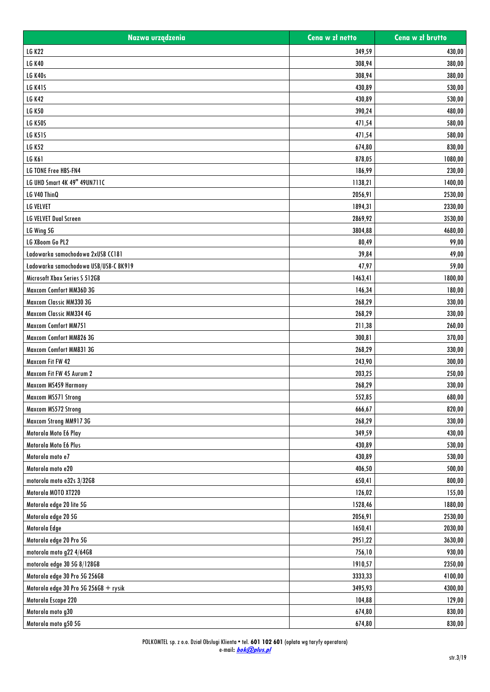| Nazwa urządzenia                      | Cena w zł netto | Cena w zł brutto |
|---------------------------------------|-----------------|------------------|
| <b>LG K22</b>                         | 349,59          | 430,00           |
| <b>LG K40</b>                         | 308,94          | 380,00           |
| <b>LG K40s</b>                        | 308,94          | 380,00           |
| <b>LG K41S</b>                        | 430,89          | 530,00           |
| <b>LG K42</b>                         | 430,89          | 530,00           |
| <b>LG K50</b>                         | 390,24          | 480,00           |
| <b>LG K50S</b>                        | 471,54          | 580,00           |
| <b>LG K51S</b>                        | 471,54          | 580,00           |
| <b>LG K52</b>                         | 674,80          | 830,00           |
| <b>LG K61</b>                         | 878,05          | 1080,00          |
| <b>LG TONE Free HBS-FN4</b>           | 186,99          | 230,00           |
| LG UHD Smart 4K 49" 49UN711C          | 1138,21         | 1400,00          |
| LG V40 ThinQ                          | 2056,91         | 2530,00          |
| <b>LG VELVET</b>                      | 1894,31         | 2330,00          |
| <b>LG VELVET Dual Screen</b>          | 2869,92         | 3530,00          |
| LG Wing 5G                            | 3804,88         | 4680,00          |
| LG XBoom Go PL2                       | 80,49           | 99,00            |
| Ładowarka samochodowa 2xUSB CC181     | 39,84           | 49,00            |
| Ładowarka samochodowa USB/USB-C BK919 | 47,97           | 59,00            |
| Microsoft Xbox Series S 512GB         | 1463,41         | 1800,00          |
| Maxcom Comfort MM36D 3G               | 146,34          | 180,00           |
| Maxcom Classic MM330 3G               | 268,29          | 330,00           |
| Maxcom Classic MM334 4G               | 268,29          | 330,00           |
| <b>Maxcom Comfort MM751</b>           | 211,38          | 260,00           |
| Maxcom Comfort MM826 3G               | 300,81          | 370,00           |
| Maxcom Comfort MM831 3G               | 268,29          | 330,00           |
| Maxcom Fit FW 42                      | 243,90          | 300,00           |
| Maxcom Fit FW 45 Aurum 2              | 203,25          | 250,00           |
| Maxcom MS459 Harmony                  | 268,29          | 330,00           |
| Maxcom MS571 Strong                   | 552,85          | 680,00           |
| Maxcom MS572 Strong                   | 666,67          | 820,00           |
| Maxcom Strong MM917 3G                | 268,29          | 330,00           |
| Motorola Moto E6 Play                 | 349,59          | 430,00           |
| Motorola Moto E6 Plus                 | 430,89          | 530,00           |
| Motorola moto e7                      | 430,89          | 530,00           |
| Motorola moto e20                     | 406,50          | 500,00           |
| motorola moto e32s 3/32GB             | 650,41          | 800,00           |
| Motorola MOTO XT220                   | 126,02          | 155,00           |
| Motorola edge 20 lite 5G              | 1528,46         | 1880,00          |
| Motorola edge 20 5G                   | 2056,91         | 2530,00          |
| Motorola Edge                         | 1650,41         | 2030,00          |
| Motorola edge 20 Pro 5G               | 2951,22         | 3630,00          |
| motorola moto g22 4/64GB              | 756,10          | 930,00           |
| motorola edge 30 5G 8/128GB           | 1910,57         | 2350,00          |
| Motorola edge 30 Pro 5G 256GB         | 3333,33         | 4100,00          |
| Motorola edge 30 Pro 5G 256GB + rysik | 3495,93         | 4300,00          |
| Motorola Escape 220                   | 104,88          | 129,00           |
| Motorola moto g30                     | 674,80          | 830,00           |
|                                       |                 |                  |
| Motorola moto g50 5G                  | 674,80          | 830,00           |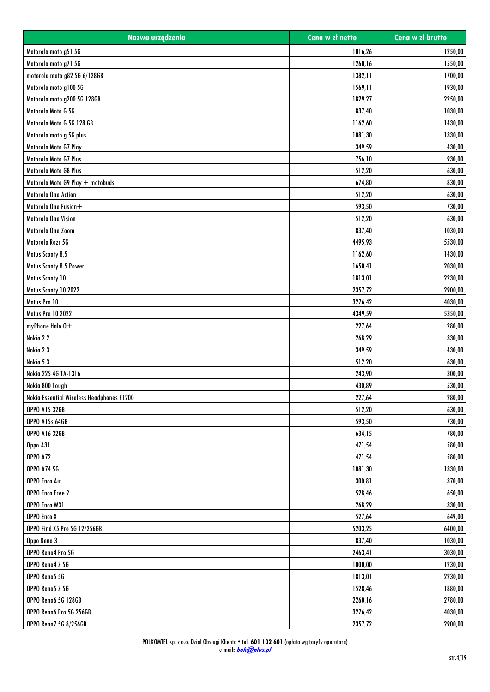| Nazwa urządzenia                          | Cena w zł netto | Cena w zł brutto |
|-------------------------------------------|-----------------|------------------|
| Motorola moto g51 5G                      | 1016,26         | 1250,00          |
| Motorola moto g71 5G                      | 1260,16         | 1550,00          |
| motorola moto g82 5G 6/128GB              | 1382,11         | 1700,00          |
| Motorola moto g100 5G                     | 1569,11         | 1930,00          |
| Motorola moto g200 5G 128GB               | 1829,27         | 2250,00          |
| Motorola Moto G 5G                        | 837,40          | 1030,00          |
| Motorola Moto G 5G 128 GB                 | 1162,60         | 1430,00          |
| Motorola moto g 5G plus                   | 1081,30         | 1330,00          |
| Motorola Moto G7 Play                     | 349,59          | 430,00           |
| Motorola Moto G7 Plus                     | 756,10          | 930,00           |
| Motorola Moto G8 Plus                     | 512,20          | 630,00           |
| Motorola Moto G9 Play + motobuds          | 674,80          | 830,00           |
| <b>Motorola One Action</b>                | 512,20          | 630,00           |
| Motorola One Fusion+                      | 593,50          | 730,00           |
| Motorola One Vision                       | 512,20          | 630,00           |
| Motorola One Zoom                         | 837,40          | 1030,00          |
| Motorola Razr 5G                          | 4495,93         | 5530,00          |
| Motus Scooty 8,5                          | 1162,60         | 1430,00          |
| Motus Scooty 8.5 Power                    | 1650,41         | 2030,00          |
| Motus Scooty 10                           | 1813,01         | 2230,00          |
| Motus Scooty 10 2022                      | 2357,72         | 2900,00          |
| Motus Pro 10                              | 3276,42         | 4030,00          |
| <b>Motus Pro 10 2022</b>                  | 4349,59         | 5350,00          |
| myPhone Halo Q+                           | 227,64          | 280,00           |
| Nokia 2.2                                 | 268,29          | 330,00           |
| Nokia 2.3                                 | 349,59          | 430,00           |
| Nokia 5.3                                 | 512,20          | 630,00           |
| Nokia 225 4G TA-1316                      | 243,90          | 300,00           |
| Nokia 800 Tough                           | 430,89          | 530,00           |
| Nokia Essential Wireless Headphones E1200 | 227,64          | 280,00           |
| <b>OPPO A15 32GB</b>                      | 512,20          | 630,00           |
| <b>OPPO A15s 64GB</b>                     | 593,50          | 730,00           |
| <b>OPPO A16 32GB</b>                      | 634,15          | 780,00           |
| Oppo A31                                  | 471,54          | 580,00           |
| <b>OPPO A72</b>                           | 471,54          | 580,00           |
| <b>OPPO A74 5G</b>                        | 1081,30         | 1330,00          |
| <b>OPPO Enco Air</b>                      | 300,81          | 370,00           |
| OPPO Enco Free 2                          | 528,46          | 650,00           |
| OPPO Enco W31                             | 268,29          | 330,00           |
| OPPO Enco X                               | 527,64          | 649,00           |
| OPPO Find X5 Pro 5G 12/256GB              | 5203,25         | 6400,00          |
| Oppo Reno 3                               | 837,40          | 1030,00          |
| OPPO Reno4 Pro 5G                         | 2463,41         | 3030,00          |
| OPPO Reno4 Z 5G                           | 1000,00         | 1230,00          |
| OPPO Reno5 5G                             | 1813,01         | 2230,00          |
| OPPO Reno5 Z 5G                           | 1528,46         | 1880,00          |
| <b>OPPO Reno6 5G 128GB</b>                | 2260,16         | 2780,00          |
| OPPO Reno6 Pro 5G 256GB                   | 3276,42         | 4030,00          |
| OPPO Reno7 5G 8/256GB                     | 2357,72         | 2900,00          |
|                                           |                 |                  |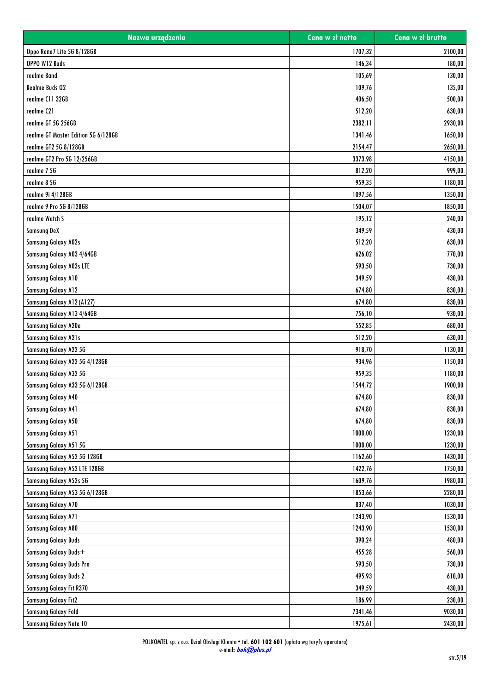| Nazwa urządzenia                    | Cena w zł netto | Cena w zł brutto |
|-------------------------------------|-----------------|------------------|
| Oppo Reno7 Lite 5G 8/128GB          | 1707,32         | 2100,00          |
| OPPO W12 Buds                       | 146,34          | 180,00           |
| realme Band                         | 105,69          | 130,00           |
| Realme Buds 02                      | 109,76          | 135,00           |
| realme C11 32GB                     | 406,50          | 500,00           |
| realme C21                          | 512,20          | 630,00           |
| realme GT 5G 256GB                  | 2382,11         | 2930,00          |
| realme GT Master Edition 5G 6/128GB | 1341,46         | 1650,00          |
| realme GT2 5G 8/128GB               | 2154,47         | 2650,00          |
| realme GT2 Pro 5G 12/256GB          | 3373,98         | 4150,00          |
| realme 7 5G                         | 812,20          | 999,00           |
| realme 8 5G                         | 959,35          | 1180,00          |
| realme 9i 4/128GB                   | 1097,56         | 1350,00          |
| realme 9 Pro 5G 8/128GB             | 1504,07         | 1850,00          |
| realme Watch S                      | 195,12          | 240,00           |
| <b>Samsung DeX</b>                  | 349,59          | 430,00           |
| <b>Samsung Galaxy A02s</b>          | 512,20          | 630,00           |
| Samsung Galaxy A03 4/64GB           | 626,02          | 770,00           |
| Samsung Galaxy A03s LTE             | 593,50          | 730,00           |
| <b>Samsung Galaxy A10</b>           | 349,59          | 430,00           |
| <b>Samsung Galaxy A12</b>           | 674,80          | 830,00           |
| Samsung Galaxy A12 (A127)           | 674,80          | 830,00           |
| Samsung Galaxy A13 4/64GB           | 756,10          | 930,00           |
| Samsung Galaxy A20e                 | 552,85          | 680,00           |
| <b>Samsung Galaxy A21s</b>          | 512,20          | 630,00           |
| Samsung Galaxy A22 5G               | 918,70          | 1130,00          |
| Samsung Galaxy A22 5G 4/128GB       | 934,96          | 1150,00          |
| Samsung Galaxy A32 5G               | 959,35          | 1180,00          |
| Samsung Galaxy A33 5G 6/128GB       | 1544,72         | 1900,00          |
| <b>Samsung Galaxy A40</b>           | 674.80          | 830,00           |
| <b>Samsung Galaxy A41</b>           | 674,80          | 830,00           |
| <b>Samsung Galaxy A50</b>           | 674,80          | 830,00           |
| <b>Samsung Galaxy A51</b>           | 1000,00         | 1230,00          |
| Samsung Galaxy A51 5G               | 1000,00         | 1230,00          |
| Samsung Galaxy A52 5G 128GB         | 1162,60         | 1430,00          |
| Samsung Galaxy A52 LTE 128GB        | 1422,76         | 1750,00          |
| Samsung Galaxy A52s 5G              | 1609,76         | 1980,00          |
| Samsung Galaxy A53 5G 6/128GB       | 1853,66         | 2280,00          |
| <b>Samsung Galaxy A70</b>           | 837,40          | 1030,00          |
| <b>Samsung Galaxy A71</b>           | 1243,90         | 1530,00          |
| <b>Samsung Galaxy A80</b>           | 1243,90         | 1530,00          |
| <b>Samsung Galaxy Buds</b>          | 390,24          | 480,00           |
| Samsung Galaxy Buds+                | 455,28          | 560,00           |
| Samsung Galaxy Buds Pro             | 593,50          | 730,00           |
| <b>Samsung Galaxy Buds 2</b>        | 495,93          | 610,00           |
| Samsung Galaxy Fit R370             | 349,59          | 430,00           |
| <b>Samsung Galaxy Fit2</b>          | 186,99          | 230,00           |
| <b>Samsung Galaxy Fold</b>          | 7341,46         | 9030,00          |
|                                     |                 |                  |
| Samsung Galaxy Note 10              | 1975,61         | 2430,00          |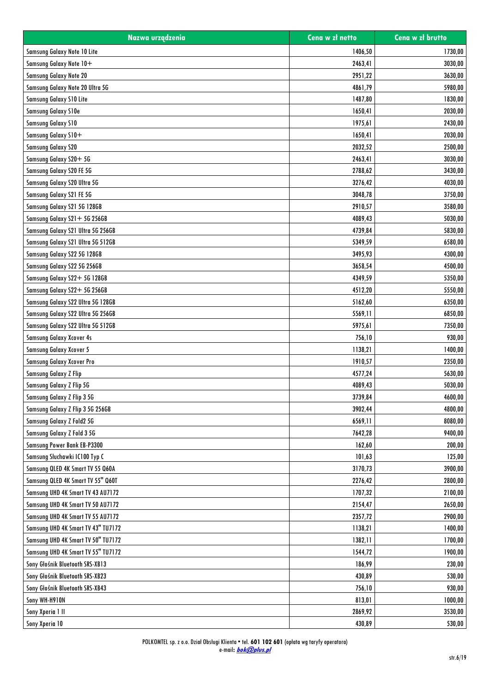| Nazwa urządzenia                   | Cena w zł netto | Cena w zł brutto |
|------------------------------------|-----------------|------------------|
| Samsung Galaxy Note 10 Lite        | 1406,50         | 1730,00          |
| Samsung Galaxy Note 10+            | 2463,41         | 3030,00          |
| Samsung Galaxy Note 20             | 2951,22         | 3630.00          |
| Samsung Galaxy Note 20 Ultra 5G    | 4861,79         | 5980,00          |
| Samsung Galaxy S10 Lite            | 1487,80         | 1830,00          |
| Samsung Galaxy S10e                | 1650,41         | 2030,00          |
| <b>Samsung Galaxy S10</b>          | 1975,61         | 2430,00          |
| Samsung Galaxy S10+                | 1650,41         | 2030,00          |
| <b>Samsung Galaxy S20</b>          | 2032,52         | 2500,00          |
| Samsung Galaxy S20+5G              | 2463,41         | 3030,00          |
| Samsung Galaxy S20 FE 5G           | 2788,62         | 3430,00          |
| Samsung Galaxy S20 Ultra 5G        | 3276,42         | 4030,00          |
| Samsung Galaxy S21 FE 5G           | 3048,78         | 3750,00          |
| Samsung Galaxy S21 5G 128GB        | 2910,57         | 3580,00          |
| Samsung Galaxy S21+ 5G 256GB       | 4089,43         | 5030,00          |
| Samsung Galaxy S21 Ultra 5G 256GB  | 4739,84         | 5830,00          |
| Samsung Galaxy S21 Ultra 5G 512GB  | 5349,59         | 6580,00          |
| Samsung Galaxy S22 5G 128GB        | 3495,93         | 4300,00          |
| Samsung Galaxy S22 5G 256GB        | 3658,54         | 4500,00          |
| Samsung Galaxy S22+ 5G 128GB       | 4349,59         | 5350,00          |
| Samsung Galaxy S22+ 5G 256GB       | 4512,20         | 5550,00          |
| Samsung Galaxy S22 Ultra 5G 128GB  | 5162,60         | 6350,00          |
| Samsung Galaxy S22 Ultra 5G 256GB  | 5569,11         | 6850,00          |
| Samsung Galaxy S22 Ultra 5G 512GB  | 5975,61         | 7350,00          |
| <b>Samsung Galaxy Xcover 4s</b>    | 756,10          | 930,00           |
| <b>Samsung Galaxy Xcover 5</b>     | 1138,21         | 1400,00          |
| Samsung Galaxy Xcover Pro          | 1910,57         | 2350,00          |
| <b>Samsung Galaxy Z Flip</b>       | 4577,24         | 5630,00          |
| Samsung Galaxy Z Flip 5G           | 4089,43         | 5030,00          |
| Samsung Galaxy Z Flip 3 5G         | 3739,84         | 4600.00          |
| Samsung Galaxy Z Flip 3 5G 256GB   | 3902,44         | 4800,00          |
| Samsung Galaxy Z Fold2 5G          | 6569,11         | 8080,00          |
| Samsung Galaxy Z Fold 3 5G         | 7642,28         | 9400,00          |
| Samsung Power Bank EB-P3300        | 162,60          | 200.00           |
| Samsung Słuchawki IC100 Typ C      | 101,63          | 125,00           |
| Samsung QLED 4K Smart TV 55 Q60A   | 3170,73         | 3900,00          |
| Samsung QLED 4K Smart TV 55" Q60T  | 2276,42         | 2800,00          |
| Samsung UHD 4K Smart TV 43 AU7172  | 1707,32         | 2100,00          |
| Samsung UHD 4K Smart TV 50 AU7172  | 2154,47         | 2650,00          |
| Samsung UHD 4K Smart TV 55 AU7172  | 2357,72         | 2900,00          |
| Samsung UHD 4K Smart TV 43" TU7172 | 1138,21         | 1400,00          |
| Samsung UHD 4K Smart TV 50" TU7172 | 1382,11         | 1700,00          |
| Samsung UHD 4K Smart TV 55" TU7172 | 1544,72         | 1900,00          |
| Sony Głośnik Bluetooth SRS-XB13    | 186,99          | 230,00           |
| Sony Głośnik Bluetooth SRS-XB23    | 430,89          | 530,00           |
| Sony Głośnik Bluetooth SRS-XB43    | 756,10          | 930,00           |
| Sony WH-H910N                      | 813,01          | 1000,00          |
| Sony Xperia 1 II                   | 2869,92         | 3530,00          |
|                                    |                 |                  |
| Sony Xperia 10                     | 430,89          | 530,00           |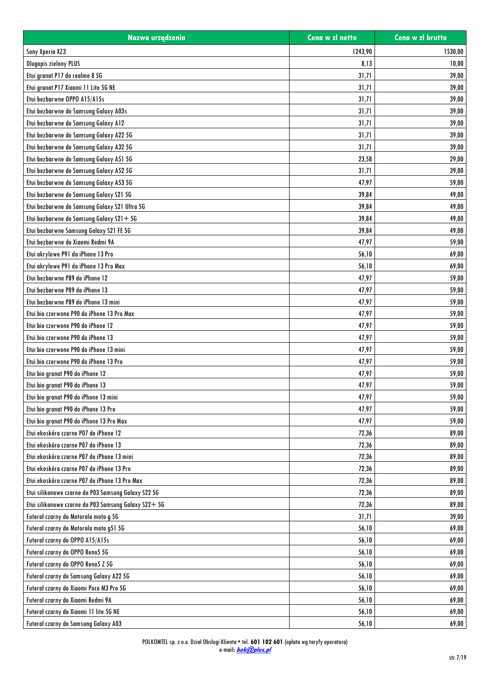| Nazwa urządzenia                                     | Cena w zł netto | Cena w zł brutto |
|------------------------------------------------------|-----------------|------------------|
| Sony Xperia XZ3                                      | 1243,90         | 1530,00          |
| <b>Dlugopis zielony PLUS</b>                         | 8,13            | 10,00            |
| Etui granat P17 do realme 8 5G                       | 31,71           | 39,00            |
| Etui granat P17 Xiaomi 11 Lite 5G NE                 | 31,71           | 39,00            |
| Etui bezbarwne OPPO A15/A15s                         | 31,71           | 39,00            |
| Etui bezbarwne do Samsung Galaxy A03s                | 31,71           | 39,00            |
| Etui bezbarwne do Samsung Galaxy A12                 | 31,71           | 39,00            |
| Etui bezbarwne do Samsung Galaxy A22 5G              | 31,71           | 39,00            |
| Etui bezbarwne do Samsung Galaxy A32 5G              | 31,71           | 39,00            |
| Etui bezbarwne do Samsung Galaxy A51 5G              | 23,58           | 29,00            |
| Etui bezbarwne do Samsung Galaxy A52 5G              | 31,71           | 39,00            |
| Etui bezbarwne do Samsung Galaxy A53 5G              | 47,97           | 59,00            |
| Etui bezbarwne do Samsung Galaxy S21 5G              | 39,84           | 49,00            |
| Etui bezbarwne do Samsung Galaxy S21 Ultra 5G        | 39,84           | 49,00            |
| Etui bezbarwne do Samsung Galaxy S21+5G              | 39,84           | 49,00            |
| Etui bezbarwne Samsung Galaxy S21 FE 5G              | 39,84           | 49,00            |
| Etui bezbarwne do Xiaomi Redmi 9A                    | 47,97           | 59,00            |
| Etui akrylowe P91 do iPhone 13 Pro                   | 56,10           | 69,00            |
| Etui akrylowe P91 do iPhone 13 Pro Max               | 56,10           | 69,00            |
| Etui bezbarwne P89 do iPhone 12                      | 47,97           | 59,00            |
| Etui bezbarwne P89 do iPhone 13                      | 47,97           | 59,00            |
| Etui bezbarwne P89 do iPhone 13 mini                 | 47,97           | 59,00            |
| Etui bio czerwone P90 do iPhone 13 Pro Max           | 47,97           | 59,00            |
| Etui bio czerwone P90 do iPhone 12                   | 47,97           | 59,00            |
| Etui bio czerwone P90 do iPhone 13                   | 47,97           | 59,00            |
| Etui bio czerwone P90 do iPhone 13 mini              | 47,97           | 59,00            |
| Etui bio czerwone P90 do iPhone 13 Pro               | 47,97           | 59,00            |
| Etui bio granat P90 do iPhone 12                     | 47,97           | 59,00            |
| Etui bio granat P90 do iPhone 13                     | 47,97           | 59,00            |
| Etui bio granat P90 do iPhone 13 mini                | 47,97           | 59,00            |
| Etui bio granat P90 do iPhone 13 Pro                 | 47,97           | 59,00            |
| Etui bio granat P90 do iPhone 13 Pro Max             | 47,97           | 59,00            |
| Etui ekoskóra czarne P07 do iPhone 12                | 72,36           | 89,00            |
| Etui ekoskóra czarne P07 do iPhone 13                | 72,36           | 89,00            |
| Etui ekoskóra czarne P07 do iPhone 13 mini           | 72,36           | 89,00            |
| Etui ekoskóra czarne P07 do iPhone 13 Pro            | 72,36           | 89,00            |
| Etui ekoskóra czarne P07 do iPhone 13 Pro Max        | 72,36           | 89,00            |
| Etui silikonowe czarne do P03 Samsung Galaxy S22 5G  | 72,36           | 89,00            |
| Etui silikonowe czarne do P03 Samsung Galaxy S22+ 5G | 72,36           | 89,00            |
| Futerał czarny do Motorola moto g 5G                 | 31,71           | 39,00            |
| Futerał czarny do Motorola moto g51 5G               | 56,10           | 69,00            |
| Futeral czarny do OPPO A15/A15s                      | 56,10           | 69,00            |
| Futeral czarny do OPPO Reno5 5G                      | 56,10           | 69,00            |
| Futeral czarny do OPPO Reno5 Z 5G                    | 56,10           | 69,00            |
| Futeral czarny do Samsung Galaxy A22 5G              | 56,10           | 69,00            |
| Futerał czarny do Xiaomi Poco M3 Pro 5G              | 56,10           | 69,00            |
| Futerał czarny do Xiaomi Redmi 9A                    | 56,10           | 69,00            |
| Futerał czarny do Xiaomi 11 lite 5G NE               | 56,10           | 69,00            |
| Futeral czarny do Samsung Galaxy A03                 | 56,10           | 69,00            |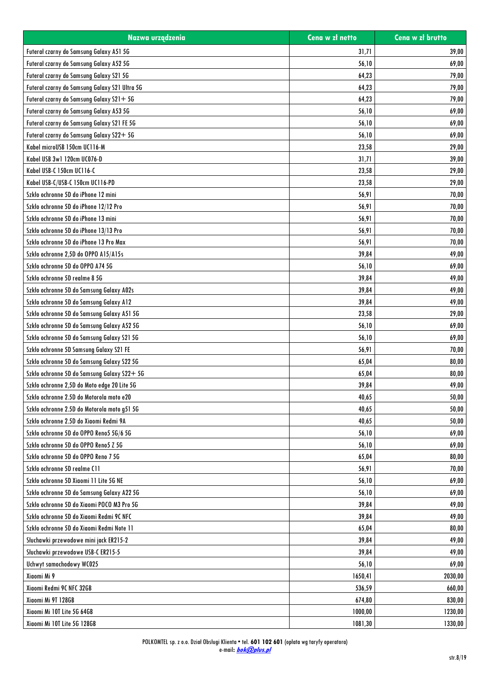| Nazwa urządzenia                              | Cena w zł netto | Cena w zł brutto |
|-----------------------------------------------|-----------------|------------------|
| Futeral czarny do Samsung Galaxy A51 5G       | 31,71           | 39,00            |
| Futeral czarny do Samsung Galaxy A52 5G       | 56,10           | 69,00            |
| Futeral czarny do Samsung Galaxy S21 5G       | 64,23           | 79,00            |
| Futerał czarny do Samsung Galaxy S21 Ultra 5G | 64,23           | 79,00            |
| Futeral czarny do Samsung Galaxy S21+5G       | 64,23           | 79,00            |
| Futeral czarny do Samsung Galaxy A53 5G       | 56,10           | 69,00            |
| Futeral czarny do Samsung Galaxy S21 FE 5G    | 56,10           | 69,00            |
| Futeral czarny do Samsung Galaxy S22+ 5G      | 56,10           | 69,00            |
| Kabel microUSB 150cm UC116-M                  | 23,58           | 29,00            |
| Kabel USB 3w1 120cm UC076-D                   | 31,71           | 39,00            |
| Kabel USB-C 150cm UC116-C                     | 23,58           | 29,00            |
| Kabel USB-C/USB-C 150cm UC116-PD              | 23,58           | 29,00            |
| Szkło ochronne 5D do iPhone 12 mini           | 56,91           | 70,00            |
| Szkło ochronne 5D do iPhone 12/12 Pro         | 56,91           | 70,00            |
| Szkło ochronne 5D do iPhone 13 mini           | 56,91           | 70,00            |
| Szkło ochronne 5D do iPhone 13/13 Pro         | 56,91           | 70,00            |
| Szkło ochronne 5D do iPhone 13 Pro Max        | 56,91           | 70,00            |
| Szkło ochronne 2,5D do OPPO A15/A15s          | 39,84           | 49,00            |
| Szkło ochronne 5D do OPPO A74 5G              | 56,10           | 69,00            |
| Szkło ochronne 5D realme 8 5G                 | 39,84           | 49,00            |
| Szkło ochronne 5D do Samsung Galaxy A02s      | 39,84           | 49,00            |
| Szkło ochronne 5D do Samsung Galaxy A12       | 39,84           | 49,00            |
| Szkło ochronne 5D do Samsung Galaxy A51 5G    | 23,58           | 29,00            |
| Szkło ochronne 5D do Samsung Galaxy A52 5G    | 56,10           | 69,00            |
| Szkło ochronne 5D do Samsung Galaxy S21 5G    | 56,10           | 69,00            |
| Szkło ochronne 5D Samsung Galaxy S21 FE       | 56,91           | 70,00            |
| Szkło ochronne 5D do Samsung Galaxy S22 5G    | 65,04           | 80,00            |
| Szkło ochronne 5D do Samsung Galaxy S22+ 5G   | 65,04           | 80,00            |
| Szkło ochronne 2,5D do Moto edge 20 Lite 5G   | 39,84           | 49,00            |
| Szkło ochronne 2.5D do Motorola moto e20      | 40,65           | 50,00            |
| Szkło ochronne 2.5D do Motorola moto g51 5G   | 40,65           | 50,00            |
| Szkło ochronne 2.5D do Xiaomi Redmi 9A        | 40,65           | 50,00            |
| Szkło ochronne 5D do OPPO Reno5 5G/6 5G       | 56,10           | 69,00            |
| Szkło ochronne 5D do OPPO Reno5 Z 5G          | 56,10           | 69,00            |
| Szkło ochronne 5D do OPPO Reno 7 5G           | 65,04           | 80,00            |
| Szkło ochronne 5D realme C11                  | 56,91           | 70,00            |
| Szkło ochronne 5D Xiaomi 11 Lite 5G NE        | 56,10           | 69,00            |
| Szkło ochronne 5D do Samsung Galaxy A22 5G    | 56,10           | 69,00            |
| Szkło ochronne 5D do Xiaomi POCO M3 Pro 5G    | 39,84           | 49,00            |
| Szkło ochronne 5D do Xiaomi Redmi 9C NFC      | 39,84           | 49,00            |
| Szkło ochronne 5D do Xiaomi Redmi Note 11     | 65,04           | 80,00            |
| Słuchawki przewodowe mini jack ER215-2        | 39,84           | 49,00            |
| Słuchawki przewodowe USB-C ER215-5            | 39,84           | 49,00            |
| Uchwyt samochodowy WC025                      | 56,10           | 69,00            |
| Xiaomi Mi 9                                   | 1650,41         | 2030,00          |
| Xiaomi Redmi 9C NFC 32GB                      | 536,59          | 660,00           |
| Xiaomi Mi 9T 128GB                            | 674,80          | 830,00           |
| Xiaomi Mi 10T Lite 5G 64GB                    | 1000,00         | 1230,00          |
| Xiaomi Mi 10T Lite 5G 128GB                   | 1081,30         | 1330,00          |
|                                               |                 |                  |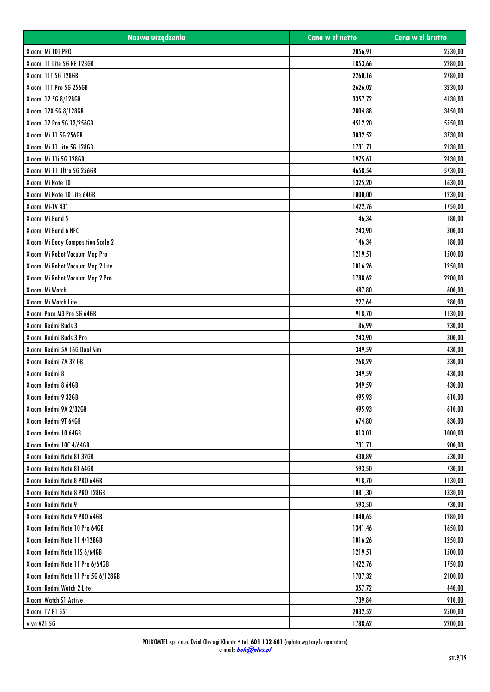| Nazwa urządzenia                    | Cena w zł netto | Cena w zł brutto |
|-------------------------------------|-----------------|------------------|
| Xiaomi Mi 10T PRO                   | 2056,91         | 2530,00          |
| Xiaomi 11 Lite 5G NE 128GB          | 1853,66         | 2280,00          |
| Xiaomi 11T 5G 128GB                 | 2260,16         | 2780,00          |
| Xiaomi 11T Pro 5G 256GB             | 2626,02         | 3230,00          |
| Xiaomi 12 5G 8/128GB                | 3357,72         | 4130,00          |
| Xiaomi 12X 5G 8/128GB               | 2804,88         | 3450,00          |
| Xiaomi 12 Pro 5G 12/256GB           | 4512,20         | 5550,00          |
| Xiaomi Mi 11 5G 256GB               | 3032,52         | 3730,00          |
| Xiaomi Mi 11 Lite 5G 128GB          | 1731,71         | 2130,00          |
| Xiaomi Mi 11i 5G 128GB              | 1975,61         | 2430,00          |
| Xiaomi Mi 11 Ultra 5G 256GB         | 4658,54         | 5730,00          |
| Xiaomi Mi Note 10                   | 1325,20         | 1630,00          |
| Xiaomi Mi Note 10 Lite 64GB         | 1000,00         | 1230,00          |
| Xiaomi Mi-TV 43"                    | 1422,76         | 1750,00          |
| Xiaomi Mi Band 5                    | 146,34          | 180,00           |
| Xiaomi Mi Band 6 NFC                | 243,90          | 300,00           |
| Xiaomi Mi Body Composition Scale 2  | 146,34          | 180,00           |
| Xiaomi Mi Robot Vacuum Mop Pro      | 1219,51         | 1500,00          |
| Xiaomi Mi Robot Vacuum Mop 2 Lite   | 1016,26         | 1250,00          |
| Xiaomi Mi Robot Vacuum Mop 2 Pro    | 1788,62         | 2200,00          |
| Xiaomi Mi Watch                     | 487,80          | 600,00           |
| Xiaomi Mi Watch Lite                | 227,64          | 280,00           |
| Xiaomi Poco M3 Pro 5G 64GB          | 918,70          | 1130,00          |
| Xiaomi Redmi Buds 3                 | 186,99          | 230,00           |
| Xiaomi Redmi Buds 3 Pro             | 243,90          | 300,00           |
| Xiaomi Redmi 5A 16G Dual Sim        | 349,59          | 430,00           |
| Xiaomi Redmi 7A 32 GB               | 268,29          | 330,00           |
| Xiaomi Redmi 8                      | 349,59          | 430,00           |
| Xiaomi Redmi 8 64GB                 | 349,59          | 430,00           |
| Xiaomi Redmi 9 32GB                 | 495,93          | 610,00           |
| Xiaomi Redmi 9A 2/32GB              | 495,93          | 610,00           |
| Xiaomi Redmi 9T 64GB                | 674,80          | 830,00           |
| Xiaomi Redmi 10 64GB                | 813,01          | 1000,00          |
| Xiaomi Redmi 10C 4/64GB             | 731,71          | 900,00           |
| Xiaomi Redmi Note 8T 32GB           | 430,89          | 530,00           |
| Xiaomi Redmi Note 8T 64GB           | 593,50          | 730,00           |
| Xiaomi Redmi Note 8 PRO 64GB        | 918,70          | 1130,00          |
| Xiaomi Redmi Note 8 PRO 128GB       | 1081,30         | 1330,00          |
| Xiaomi Redmi Note 9                 | 593,50          | 730,00           |
| Xiaomi Redmi Note 9 PRO 64GB        | 1040,65         | 1280,00          |
| Xiaomi Redmi Note 10 Pro 64GB       | 1341,46         | 1650,00          |
| Xiaomi Redmi Note 11 4/128GB        | 1016,26         | 1250,00          |
| Xiaomi Redmi Note 11S 6/64GB        | 1219,51         | 1500,00          |
| Xiaomi Redmi Note 11 Pro 6/64GB     | 1422,76         | 1750,00          |
| Xiaomi Redmi Note 11 Pro 5G 6/128GB | 1707,32         | 2100,00          |
| Xiaomi Redmi Watch 2 Lite           | 357,72          | 440,00           |
| Xiaomi Watch S1 Active              | 739,84          | 910,00           |
| Xiaomi TV P1 55"                    | 2032,52         | 2500,00          |
|                                     |                 |                  |
| vivo V21 5G                         | 1788,62         | 2200,00          |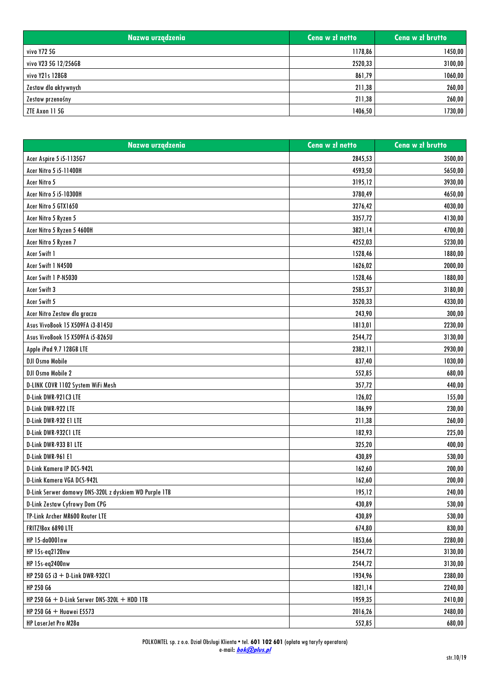| Nazwa urządzenia     | Cena w zł netto | Cena w zł brutto |
|----------------------|-----------------|------------------|
| vivo Y72 5G          | 1178,86         | 1450,00          |
| vivo V23 5G 12/256GB | 2520,33         | 3100,00          |
| vivo Y21s 128GB      | 861,79          | 1060,00          |
| Zestaw dla aktywnych | 211,38          | 260,00           |
| Zestaw przenośny     | 211,38          | 260,00           |
| ZTE Axon 11 5G       | 1406,50         | 1730,00          |

| Nazwa urządzenia                                      | Cena w zł netto | Cena w zł brutto |
|-------------------------------------------------------|-----------------|------------------|
| Acer Aspire 5 i5-1135G7                               | 2845,53         | 3500,00          |
| Acer Nitro 5 i5-11400H                                | 4593,50         | 5650,00          |
| Acer Nitro 5                                          | 3195,12         | 3930,00          |
| Acer Nitro 5 i5-10300H                                | 3780,49         | 4650,00          |
| Acer Nitro 5 GTX1650                                  | 3276,42         | 4030,00          |
| Acer Nitro 5 Ryzen 5                                  | 3357,72         | 4130,00          |
| Acer Nitro 5 Ryzen 5 4600H                            | 3821,14         | 4700,00          |
| Acer Nitro 5 Ryzen 7                                  | 4252,03         | 5230,00          |
| Acer Swift 1                                          | 1528,46         | 1880,00          |
| Acer Swift 1 N4500                                    | 1626,02         | 2000,00          |
| Acer Swift 1 P-N5030                                  | 1528,46         | 1880,00          |
| Acer Swift 3                                          | 2585,37         | 3180,00          |
| Acer Swift 5                                          | 3520,33         | 4330,00          |
| Acer Nitro Zestaw dla gracza                          | 243,90          | 300,00           |
| Asus VivoBook 15 X509FA i3-8145U                      | 1813,01         | 2230,00          |
| Asus VivoBook 15 X509FA i5-8265U                      | 2544,72         | 3130,00          |
| Apple iPad 9.7 128GB LTE                              | 2382,11         | 2930,00          |
| <b>DJI Osmo Mobile</b>                                | 837,40          | 1030,00          |
| DJI Osmo Mobile 2                                     | 552,85          | 680,00           |
| D-LINK COVR 1102 System WiFi Mesh                     | 357,72          | 440,00           |
| D-Link DWR-921C3 LTE                                  | 126,02          | 155,00           |
| D-Link DWR-922 LTE                                    | 186,99          | 230,00           |
| D-Link DWR-932 E1 LTE                                 | 211,38          | 260,00           |
| D-Link DWR-932C1 LTE                                  | 182,93          | 225,00           |
| D-Link DWR-933 B1 LTE                                 | 325,20          | 400,00           |
| D-Link DWR-961 E1                                     | 430,89          | 530,00           |
| D-Link Kamera IP DCS-942L                             | 162,60          | 200,00           |
| D-Link Kamera VGA DCS-942L                            | 162,60          | 200,00           |
| D-Link Serwer domowy DNS-320L z dyskiem WD Purple 1TB | 195,12          | 240,00           |
| <b>D-Link Zestaw Cyfrowy Dom CPG</b>                  | 430,89          | 530,00           |
| TP-Link Archer MR600 Router LTE                       | 430,89          | 530,00           |
| FRITZ!Box 6890 LTE                                    | 674,80          | 830,00           |
| HP 15-da0001nw                                        | 1853,66         | 2280,00          |
| HP 15s-eq2120nw                                       | 2544,72         | 3130,00          |
| HP 15s-eq2400nw                                       | 2544,72         | 3130,00          |
| HP 250 G5 i3 + D-Link DWR-932C1                       | 1934,96         | 2380,00          |
| HP 250 G6                                             | 1821,14         | 2240,00          |
| HP 250 G6 $+$ D-Link Serwer DNS-320L $+$ HDD 1TB      | 1959,35         | 2410,00          |
| HP 250 G6 + Huawei E5573                              | 2016,26         | 2480,00          |
| HP LaserJet Pro M28a                                  | 552,85          | 680,00           |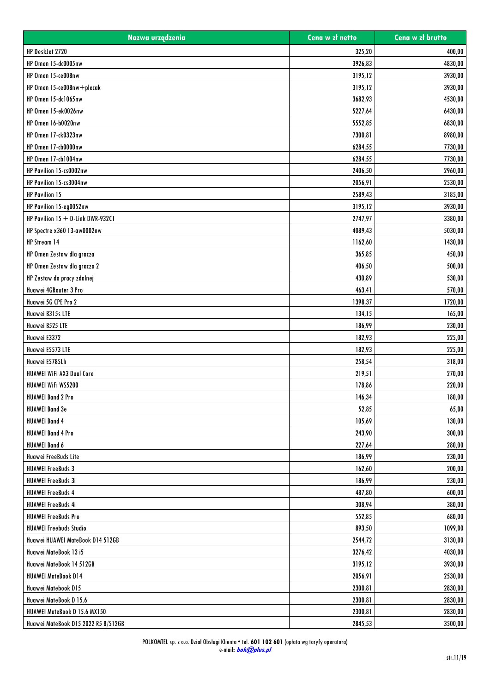| Nazwa urządzenia                     | Cena w zł netto | Cena w zł brutto |
|--------------------------------------|-----------------|------------------|
| HP DeskJet 2720                      | 325,20          | 400,00           |
| <b>HP Omen 15-dc0005nw</b>           | 3926,83         | 4830,00          |
| HP Omen 15-ce008nw                   | 3195,12         | 3930,00          |
| HP Omen 15-ce008nw+plecak            | 3195,12         | 3930,00          |
| HP Omen 15-dc1065nw                  | 3682,93         | 4530,00          |
| HP Omen 15-ek0026nw                  | 5227,64         | 6430,00          |
| <b>HP Omen 16-b0020nw</b>            | 5552,85         | 6830,00          |
| HP Omen 17-ck0323nw                  | 7300,81         | 8980,00          |
| HP Omen 17-cb0000nw                  | 6284,55         | 7730,00          |
| HP Omen 17-cb1004nw                  | 6284,55         | 7730,00          |
| HP Pavilion 15-cs0002nw              | 2406,50         | 2960,00          |
| HP Pavilion 15-cs3004nw              | 2056,91         | 2530,00          |
| <b>HP Pavilion 15</b>                | 2589,43         | 3185,00          |
| HP Pavilion 15-eg0052nw              | 3195,12         | 3930,00          |
| HP Pavilion $15 + D$ -Link DWR-932C1 | 2747,97         | 3380,00          |
| HP Spectre x360 13-aw0002nw          | 4089,43         | 5030,00          |
| HP Stream 14                         | 1162,60         | 1430,00          |
| HP Omen Zestaw dla gracza            | 365,85          | 450,00           |
| HP Omen Zestaw dla gracza 2          | 406,50          | 500,00           |
| HP Zestaw do pracy zdalnej           | 430,89          | 530,00           |
| Huawei 4GRouter 3 Pro                | 463,41          | 570,00           |
| Huawei 5G CPE Pro 2                  | 1398,37         | 1720,00          |
| Huawei B315s LTE                     | 134,15          | 165,00           |
| Huawei B525 LTE                      | 186,99          | 230,00           |
| Huawei E3372                         | 182,93          | 225,00           |
| Huawei E5573 LTE                     | 182,93          | 225,00           |
| Huawei E5785Lh                       | 258,54          | 318,00           |
| <b>HUAWEI WiFi AX3 Dual Core</b>     | 219,51          | 270,00           |
| <b>HUAWEI WIFI WS5200</b>            | 178,86          | 220,00           |
| <b>HUAWEI Band 2 Pro</b>             | 146,34          | 180,00           |
| <b>HUAWEI Band 3e</b>                | 52,85           | 65,00            |
| <b>HUAWEI Band 4</b>                 | 105,69          | 130,00           |
| <b>HUAWEI Band 4 Pro</b>             | 243,90          | 300,00           |
| <b>HUAWEI Band 6</b>                 | 227,64          | 280,00           |
| Huawei FreeBuds Lite                 | 186,99          | 230,00           |
| <b>HUAWEI FreeBuds 3</b>             | 162,60          | 200,00           |
| <b>HUAWEI FreeBuds 3i</b>            | 186,99          | 230,00           |
| <b>HUAWEI FreeBuds 4</b>             | 487,80          | 600,00           |
| <b>HUAWEI FreeBuds 4i</b>            | 308,94          | 380,00           |
| <b>HUAWEI FreeBuds Pro</b>           | 552,85          | 680,00           |
| <b>HUAWEI Freebuds Studio</b>        | 893,50          | 1099,00          |
| Huawei HUAWEI MateBook D14 512GB     | 2544,72         | 3130,00          |
| Huawei MateBook 13 i5                | 3276,42         | 4030,00          |
| Huawei MateBook 14 512GB             | 3195,12         | 3930,00          |
| <b>HUAWEI MateBook D14</b>           | 2056,91         | 2530,00          |
| Huawei Matebook D15                  | 2300,81         | 2830,00          |
| Huawei MateBook D 15.6               | 2300,81         | 2830,00          |
| HUAWEI MateBook D 15.6 MX150         | 2300,81         | 2830,00          |
|                                      |                 |                  |
| Huawei MateBook D15 2022 R5 8/512GB  | 2845,53         | 3500,00          |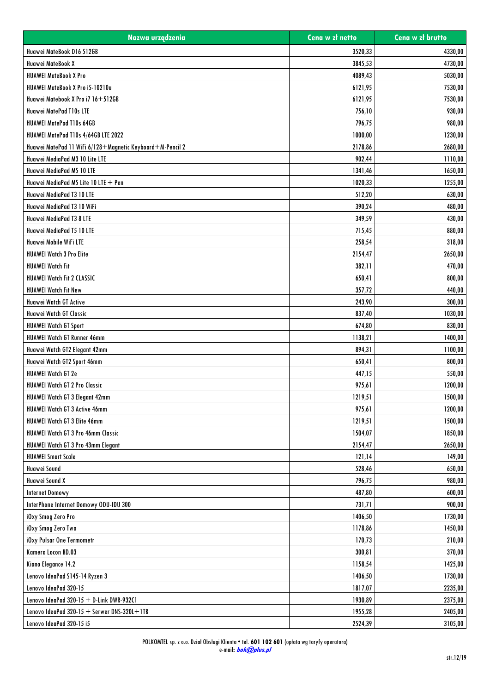| Nazwa urządzenia                                          | Cena w zł netto | Cena w zł brutto |
|-----------------------------------------------------------|-----------------|------------------|
| Huawei MateBook D16 512GB                                 | 3520,33         | 4330,00          |
| Huawei MateBook X                                         | 3845,53         | 4730,00          |
| <b>HUAWEI MateBook X Pro</b>                              | 4089,43         | 5030,00          |
| HUAWEI MateBook X Pro i5-10210u                           | 6121,95         | 7530,00          |
| Huawei Matebook X Pro i7 16+512GB                         | 6121,95         | 7530,00          |
| Huawei MatePad T10s LTE                                   | 756,10          | 930,00           |
| HUAWEI MatePad T10s 64GB                                  | 796,75          | 980,00           |
| HUAWEI MatePad T10s 4/64GB LTE 2022                       | 1000,00         | 1230,00          |
| Huawei MatePad 11 WiFi 6/128+Magnetic Keyboard+M-Pencil 2 | 2178,86         | 2680,00          |
| Huawei MediaPad M3 10 Lite LTE                            | 902,44          | 1110,00          |
| Huawei MediaPad M5 10 LTE                                 | 1341,46         | 1650,00          |
| Huawei MediaPad M5 Lite 10 LTE + Pen                      | 1020,33         | 1255,00          |
| Huawei MediaPad T3 10 LTE                                 | 512,20          | 630,00           |
| Huawei MediaPad T3 10 WiFi                                | 390,24          | 480,00           |
| Huawei MediaPad T3 8 LTE                                  | 349,59          | 430,00           |
| Huawei MediaPad T5 10 LTE                                 | 715,45          | 880,00           |
| Huawei Mobile WiFi LTE                                    | 258,54          | 318,00           |
| <b>HUAWEI Watch 3 Pro Elite</b>                           | 2154,47         | 2650,00          |
| <b>HUAWEI Watch Fit</b>                                   | 382,11          | 470,00           |
| HUAWEI Watch Fit 2 CLASSIC                                | 650,41          | 800,00           |
| <b>HUAWEI Watch Fit New</b>                               | 357,72          | 440,00           |
| Huawei Watch GT Active                                    | 243,90          | 300,00           |
| Huawei Watch GT Classic                                   | 837,40          | 1030,00          |
| <b>HUAWEI Watch GT Sport</b>                              | 674,80          | 830,00           |
| HUAWEI Watch GT Runner 46mm                               | 1138,21         | 1400,00          |
| Huawei Watch GT2 Elegant 42mm                             | 894,31          | 1100,00          |
| Huawei Watch GT2 Sport 46mm                               | 650,41          | 800,00           |
| <b>HUAWEI Watch GT 2e</b>                                 | 447,15          | 550,00           |
| <b>HUAWEI Watch GT 2 Pro Classic</b>                      | 975,61          | 1200,00          |
| <b>HUAWEI Watch GT 3 Eleaant 42mm</b>                     | 1219,51         | 1500,00          |
| HUAWEI Watch GT 3 Active 46mm                             | 975,61          | 1200,00          |
| HUAWEI Watch GT 3 Elite 46mm                              | 1219,51         | 1500,00          |
| HUAWEI Watch GT 3 Pro 46mm Classic                        | 1504,07         | 1850,00          |
| HUAWEI Watch GT 3 Pro 43mm Elegant                        | 2154,47         | 2650,00          |
| <b>HUAWEI Smart Scale</b>                                 | 121,14          | 149,00           |
| Huawei Sound                                              | 528,46          | 650,00           |
| Huawei Sound X                                            | 796,75          | 980,00           |
| <b>Internet Domowy</b>                                    | 487,80          | 600,00           |
| InterPhone Internet Domowy ODU-IDU 300                    | 731,71          | 900,00           |
| iOxy Smog Zero Pro                                        | 1406,50         | 1730,00          |
| iOxy Smog Zero Two                                        | 1178,86         | 1450,00          |
| iOxy Pulsar One Termometr                                 | 170,73          | 210,00           |
| Kamera Locon BD.03                                        | 300,81          | 370,00           |
| Kiano Elegance 14.2                                       | 1158,54         | 1425,00          |
| Lenovo IdeaPad S145-14 Ryzen 3                            | 1406,50         | 1730,00          |
| Lenovo IdeaPad 320-15                                     | 1817,07         | 2235,00          |
| Lenovo IdeaPad $320-15 + D$ -Link DWR-932C1               | 1930,89         | 2375,00          |
| Lenovo IdeaPad 320-15 + Serwer DNS-320L+1TB               | 1955,28         | 2405,00          |
|                                                           |                 |                  |
| Lenovo IdeaPad 320-15 i5                                  | 2524,39         | 3105,00          |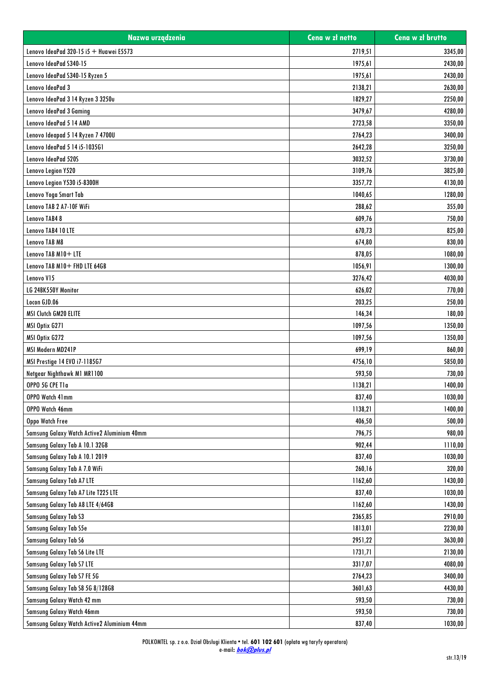| Nazwa urządzenia                            | Cena w zł netto | Cena w zł brutto |
|---------------------------------------------|-----------------|------------------|
| Lenovo IdeaPad 320-15 i5 $+$ Huawei E5573   | 2719,51         | 3345,00          |
| Lenovo IdeaPad S340-15                      | 1975,61         | 2430,00          |
| Lenovo IdeaPad S340-15 Ryzen 5              | 1975,61         | 2430.00          |
| Lenovo IdeaPad 3                            | 2138,21         | 2630,00          |
| Lenovo IdeaPad 3 14 Ryzen 3 3250u           | 1829,27         | 2250,00          |
| Lenovo IdeaPad 3 Gaming                     | 3479,67         | 4280,00          |
| Lenovo IdeaPad 5 14 AMD                     | 2723,58         | 3350,00          |
| Lenovo Ideapad 5 14 Ryzen 7 4700U           | 2764,23         | 3400,00          |
| Lenovo IdeaPad 5 14 i5-1035G1               | 2642,28         | 3250,00          |
| Lenovo IdeaPad 520S                         | 3032,52         | 3730,00          |
| Lenovo Legion Y520                          | 3109,76         | 3825,00          |
| Lenovo Legion Y530 i5-8300H                 | 3357,72         | 4130,00          |
| Lenovo Yoga Smart Tab                       | 1040,65         | 1280,00          |
| Lenovo TAB 2 A7-10F WiFi                    | 288,62          | 355,00           |
| Lenovo TAB48                                | 609,76          | 750,00           |
| Lenovo TAB4 10 LTE                          | 670,73          | 825,00           |
| Lenovo TAB M8                               | 674,80          | 830,00           |
| Lenovo TAB M10+ LTE                         | 878,05          | 1080,00          |
| Lenovo TAB M10+ FHD LTE 64GB                | 1056,91         | 1300,00          |
| Lenovo V15                                  | 3276,42         | 4030,00          |
| LG 24BK550Y Monitor                         | 626,02          | 770,00           |
| Locon GJD.06                                | 203,25          | 250,00           |
| MSI Clutch GM20 ELITE                       | 146,34          | 180,00           |
| MSI Optix G271                              | 1097,56         | 1350,00          |
| MSI Optix G272                              | 1097,56         | 1350,00          |
| MSI Modern MD241P                           | 699,19          | 860,00           |
| MSI Prestige 14 EVO i7-1185G7               | 4756,10         | 5850,00          |
| Netgear Nighthawk M1 MR1100                 | 593,50          | 730,00           |
| OPPO 5G CPE T1a                             | 1138,21         | 1400,00          |
| OPPO Watch 41mm                             | 837,40          | 1030,00          |
| OPPO Watch 46mm                             | 1138,21         | 1400,00          |
| Oppo Watch Free                             | 406,50          | 500,00           |
| Samsung Galaxy Watch Active2 Aluminium 40mm | 796,75          | 980,00           |
| Samsung Galaxy Tab A 10.1 32GB              | 902,44          | 1110,00          |
| Samsung Galaxy Tab A 10.1 2019              | 837,40          | 1030,00          |
| Samsung Galaxy Tab A 7.0 WiFi               | 260,16          | 320,00           |
| <b>Samsung Galaxy Tab A7 LTE</b>            | 1162,60         | 1430,00          |
| Samsung Galaxy Tab A7 Lite T225 LTE         | 837,40          | 1030,00          |
| Samsung Galaxy Tab A8 LTE 4/64GB            | 1162,60         | 1430,00          |
| Samsung Galaxy Tab S3                       | 2365,85         | 2910,00          |
| Samsung Galaxy Tab S5e                      | 1813,01         | 2230,00          |
| <b>Samsung Galaxy Tab S6</b>                | 2951,22         | 3630,00          |
| Samsung Galaxy Tab S6 Lite LTE              | 1731,71         | 2130,00          |
| Samsung Galaxy Tab S7 LTE                   | 3317,07         | 4080,00          |
| Samsung Galaxy Tab S7 FE 5G                 | 2764,23         | 3400,00          |
| Samsung Galaxy Tab S8 5G 8/128GB            | 3601,63         | 4430,00          |
| Samsung Galaxy Watch 42 mm                  | 593,50          | 730,00           |
| Samsung Galaxy Watch 46mm                   | 593,50          | 730,00           |
| Samsung Galaxy Watch Active2 Aluminium 44mm | 837,40          | 1030,00          |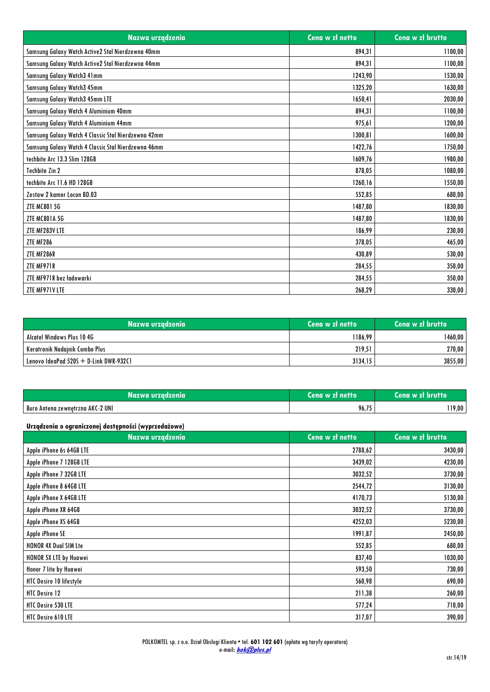| Nazwa urządzenia                                    | Cena w zł netto | Cena w zł brutto |
|-----------------------------------------------------|-----------------|------------------|
| Samsung Galaxy Watch Active2 Stal Nierdzewna 40mm   | 894,31          | 1100,00          |
| Samsung Galaxy Watch Active2 Stal Nierdzewna 44mm   | 894,31          | 1100,00          |
| Samsung Galaxy Watch3 41mm                          | 1243,90         | 1530,00          |
| Samsung Galaxy Watch3 45mm                          | 1325,20         | 1630,00          |
| Samsung Galaxy Watch3 45mm LTE                      | 1650,41         | 2030,00          |
| Samsung Galaxy Watch 4 Aluminium 40mm               | 894,31          | 1100,00          |
| Samsung Galaxy Watch 4 Aluminium 44mm               | 975,61          | 1200,00          |
| Samsung Galaxy Watch 4 Classic Stal Nierdzewna 42mm | 1300,81         | 1600,00          |
| Samsung Galaxy Watch 4 Classic Stal Nierdzewna 46mm | 1422,76         | 1750,00          |
| techbite Arc 13.3 Slim 128GB                        | 1609,76         | 1980,00          |
| Techbite Zin 2                                      | 878,05          | 1080,00          |
| techbite Arc 11.6 HD 128GB                          | 1260,16         | 1550,00          |
| Zestaw 2 kamer Locon BD.03                          | 552,85          | 680,00           |
| <b>ZTE MC801 5G</b>                                 | 1487,80         | 1830,00          |
| <b>ZTE MC801A 5G</b>                                | 1487,80         | 1830,00          |
| ZTE MF283V LTE                                      | 186,99          | 230,00           |
| ZTE MF286                                           | 378,05          | 465,00           |
| ZTE MF286R                                          | 430.89          | 530.00           |
| ZTE MF971R                                          | 284,55          | 350,00           |
| ZTE MF971R bez ładowarki                            | 284,55          | 350,00           |
| ZTE MF971V LTE                                      | 268,29          | 330,00           |

| Mazwa urządzenia 1                        | Cena w zł netto | Cena w zł brutto |
|-------------------------------------------|-----------------|------------------|
| Alcatel Windows Plus 10 4G                | 1186,99         | 1460.00          |
| Keratronik Nadajnik Combo Plus            | 219.51          | 270,00           |
| Lenovo IdeaPad $520S + D$ -Link DWR-932C1 | 3134.15         | 3855,00          |

| Nazwa urzadzenia                   | Cena w zł netto | Cena w zł brutto |
|------------------------------------|-----------------|------------------|
| l Buro Antena zewnetrzna AKC-2 UNI | 96.75           | 119.00           |

## **Urządzenia o ograniczonej dostępności (wyprzedażowe)**

| Nazwa urządzenia             | Cena w zł netto | Cena w zł brutto |
|------------------------------|-----------------|------------------|
| Apple iPhone 6s 64GB LTE     | 2788,62         | 3430,00          |
| Apple iPhone 7 128GB LTE     | 3439,02         | 4230,00          |
| Apple iPhone 7 32GB LTE      | 3032,52         | 3730,00          |
| Apple iPhone 8 64GB LTE      | 2544,72         | 3130,00          |
| Apple iPhone X 64GB LTE      | 4170,73         | 5130,00          |
| Apple iPhone XR 64GB         | 3032,52         | 3730,00          |
| Apple iPhone XS 64GB         | 4252,03         | 5230,00          |
| Apple iPhone SE              | 1991,87         | 2450,00          |
| <b>HONOR 4X Dual SIM Lte</b> | 552,85          | 680,00           |
| HONOR 5X LTE by Huawei       | 837,40          | 1030,00          |
| Honor 7 lite by Huawei       | 593,50          | 730,00           |
| HTC Desire 10 lifestyle      | 560,98          | 690,00           |
| HTC Desire 12                | 211,38          | 260,00           |
| <b>HTC Desire 530 LTE</b>    | 577,24          | 710,00           |
| HTC Desire 610 LTE           | 317,07          | 390,00           |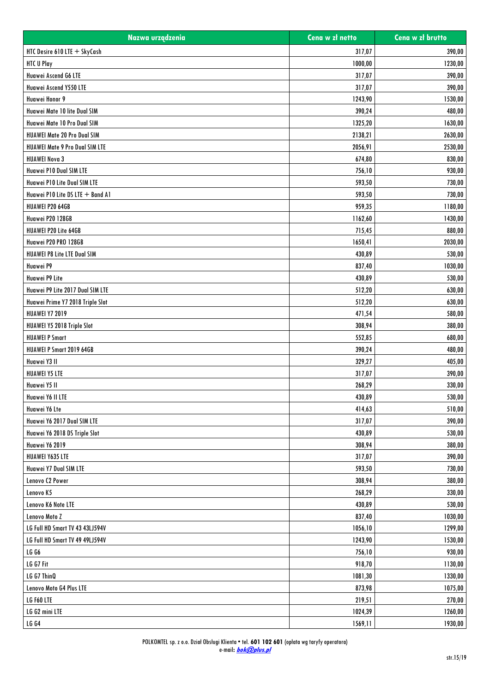| Nazwa urządzenia                 | Cena w zł netto | Cena w zł brutto |
|----------------------------------|-----------------|------------------|
| HTC Desire 610 LTE + SkyCash     | 317,07          | 390,00           |
| <b>HTC U Play</b>                | 1000,00         | 1230,00          |
| Huawei Ascend G6 LTE             | 317,07          | 390.00           |
| Huawei Ascend Y550 LTE           | 317,07          | 390,00           |
| Huawei Honor 9                   | 1243,90         | 1530,00          |
| Huawei Mate 10 lite Dual SIM     | 390,24          | 480,00           |
| Huawei Mate 10 Pro Dual SIM      | 1325,20         | 1630,00          |
| HUAWEI Mate 20 Pro Dual SIM      | 2138,21         | 2630,00          |
| HUAWEI Mate 9 Pro Dual SIM LTE   | 2056,91         | 2530,00          |
| <b>HUAWEI Nova 3</b>             | 674,80          | 830,00           |
| Huawei P10 Dual SIM LTE          | 756,10          | 930,00           |
| Huawei P10 Lite Dual SIM LTE     | 593,50          | 730,00           |
| Huawei P10 Lite DS LTE + Band A1 | 593,50          | 730,00           |
| HUAWEI P20 64GB                  | 959,35          | 1180,00          |
| Huawei P20 128GB                 | 1162,60         | 1430,00          |
| HUAWEI P20 Lite 64GB             | 715,45          | 880,00           |
| Huawei P20 PRO 128GB             | 1650,41         | 2030,00          |
| HUAWEI P8 Lite LTE Dual SIM      | 430,89          | 530,00           |
| Huawei P9                        | 837,40          | 1030,00          |
| Huawei P9 Lite                   | 430,89          | 530,00           |
| Huawei P9 Lite 2017 Dual SIM LTE | 512,20          | 630,00           |
| Huawei Prime Y7 2018 Triple Slot | 512,20          | 630,00           |
| <b>HUAWEI Y7 2019</b>            | 471,54          | 580,00           |
| HUAWEI Y5 2018 Triple Slot       | 308,94          | 380,00           |
| <b>HUAWEI P Smart</b>            | 552,85          | 680,00           |
| HUAWEI P Smart 2019 64GB         | 390,24          | 480,00           |
| Huawei Y3 II                     | 329,27          | 405,00           |
| <b>HUAWEI Y5 LTE</b>             | 317,07          | 390,00           |
| Huawei Y5 II                     | 268,29          | 330,00           |
| Huawei Y6 II LTE                 | 430,89          | 530,00           |
| Huawei Y6 Lte                    | 414,63          | 510,00           |
| Huawei Y6 2017 Dual SIM LTE      | 317,07          | 390,00           |
| Huawei Y6 2018 DS Triple Slot    | 430,89          | 530,00           |
| Huawei Y6 2019                   | 308,94          | 380,00           |
| HUAWEI Y635 LTE                  | 317,07          | 390,00           |
| Huawei Y7 Dual SIM LTE           | 593,50          | 730,00           |
| Lenovo C2 Power                  | 308,94          | 380,00           |
| Lenovo K5                        | 268,29          | 330,00           |
| Lenovo K6 Note LTE               | 430,89          | 530,00           |
|                                  |                 |                  |
| Lenovo Moto Z                    | 837,40          | 1030,00          |
| LG Full HD Smart TV 43 43LJ594V  | 1056,10         | 1299,00          |
| LG Full HD Smart TV 49 49LJ594V  | 1243,90         | 1530,00          |
| <b>LG G6</b>                     | 756,10          | 930,00           |
| LG G7 Fit                        | 918,70          | 1130,00          |
| LG G7 ThinQ                      | 1081,30         | 1330,00          |
| Lenovo Moto G4 Plus LTE          | 873,98          | 1075,00          |
| LG F60 LTE                       | 219,51          | 270,00           |
| LG G2 mini LTE                   | 1024,39         | 1260,00          |
| <b>LG G4</b>                     | 1569,11         | 1930,00          |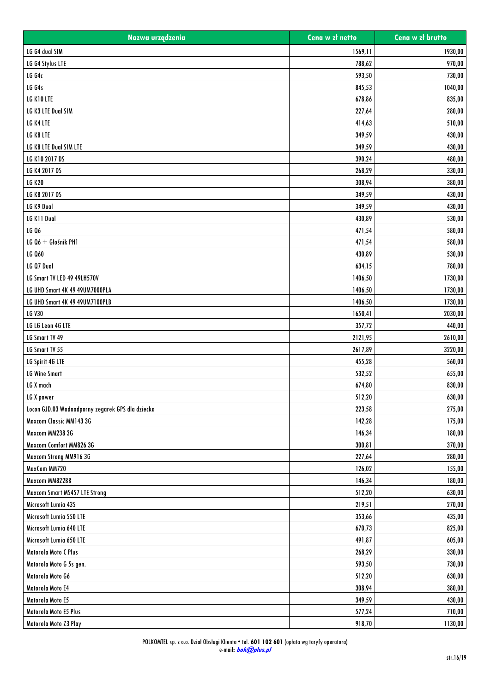| Nazwa urządzenia                                 | Cena w zł netto | Cena w zł brutto |
|--------------------------------------------------|-----------------|------------------|
| LG G4 dual SIM                                   | 1569,11         | 1930,00          |
| LG G4 Stylus LTE                                 | 788,62          | 970,00           |
| <b>LG G4c</b>                                    | 593,50          | 730,00           |
| LG G4s                                           | 845,53          | 1040,00          |
| LG K10 LTE                                       | 678,86          | 835,00           |
| LG K3 LTE Dual SIM                               | 227,64          | 280,00           |
| LG K4 LTE                                        | 414,63          | 510,00           |
| LG K8 LTE                                        | 349,59          | 430,00           |
| LG K8 LTE Dual SIM LTE                           | 349,59          | 430,00           |
| LG K10 2017 DS                                   | 390,24          | 480,00           |
| LG K4 2017 DS                                    | 268,29          | 330,00           |
| <b>LG K20</b>                                    | 308,94          | 380,00           |
| LG K8 2017 DS                                    | 349,59          | 430,00           |
| LG K9 Dual                                       | 349,59          | 430,00           |
| LG K11 Dual                                      | 430,89          | 530,00           |
| <b>LG Q6</b>                                     | 471,54          | 580,00           |
| LG Q6 + Głośnik PH1                              | 471,54          | 580,00           |
| <b>LG Q60</b>                                    | 430,89          | 530,00           |
| LG Q7 Dual                                       | 634,15          | 780,00           |
| LG Smart TV LED 49 49LH570V                      | 1406,50         | 1730,00          |
| LG UHD Smart 4K 49 49UM7000PLA                   | 1406,50         | 1730,00          |
| LG UHD Smart 4K 49 49UM7100PLB                   | 1406,50         | 1730,00          |
| <b>LG V30</b>                                    | 1650,41         | 2030,00          |
| LG LG Leon 4G LTE                                | 357,72          | 440,00           |
| LG Smart TV 49                                   | 2121,95         | 2610,00          |
| LG Smart TV 55                                   | 2617,89         | 3220,00          |
| LG Spirit 4G LTE                                 | 455,28          | 560,00           |
| <b>LG Wine Smart</b>                             | 532,52          | 655,00           |
| LG X mach                                        | 674,80          | 830,00           |
| LG X power                                       | 512,20          | 630,00           |
| Locon GJD.03 Wodoodporny zegarek GPS dla dziecka | 223,58          | 275,00           |
| Maxcom Classic MM143 3G                          | 142,28          | 175,00           |
| Maxcom MM238 3G                                  | 146,34          | 180,00           |
| Maxcom Comfort MM826 3G                          | 300,81          | 370,00           |
| Maxcom Strong MM916 3G                           | 227,64          | 280,00           |
| MaxCom MM720                                     | 126,02          | 155,00           |
| Maxcom MM822BB                                   | 146,34          | 180,00           |
| Maxcom Smart MS457 LTE Strong                    | 512,20          | 630,00           |
| Microsoft Lumia 435                              | 219,51          | 270,00           |
| Microsoft Lumia 550 LTE                          | 353,66          | 435,00           |
| Microsoft Lumia 640 LTE                          | 670,73          | 825,00           |
| Microsoft Lumia 650 LTE                          | 491,87          | 605,00           |
| Motorola Moto C Plus                             | 268,29          | 330,00           |
| Motorola Moto G 5s gen.                          | 593,50          | 730,00           |
| Motorola Moto G6                                 | 512,20          | 630,00           |
| Motorola Moto E4                                 | 308,94          | 380,00           |
| Motorola Moto E5                                 | 349,59          | 430,00           |
| Motorola Moto E5 Plus                            | 577,24          | 710,00           |
| Motorola Moto Z3 Play                            | 918,70          | 1130,00          |
|                                                  |                 |                  |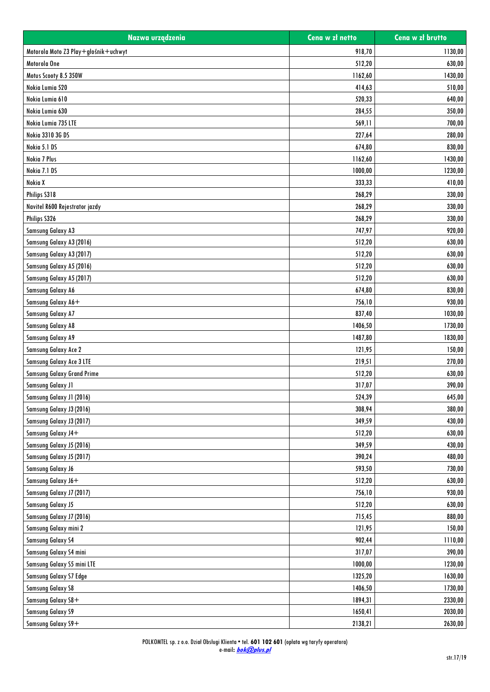| 918,70<br>1130,00<br>Motorola Moto Z3 Play+głośnik+uchwyt<br>Motorola One<br>512,20<br>630,00<br>Motus Scooty 8.5 350W<br>1162,60<br>1430,00<br>Nokia Lumia 520<br>414,63<br>510,00<br>Nokia Lumia 610<br>520,33<br>640,00<br>Nokia Lumia 630<br>284,55<br>350,00<br>Nokia Lumia 735 LTE<br>569,11<br>700,00<br>Nokia 3310 3G DS<br>227,64<br>280,00<br>Nokia 5.1 DS<br>674,80<br>830,00<br>Nokia 7 Plus<br>1162,60<br>1430,00<br>Nokia 7.1 DS<br>1000,00<br>1230,00<br>Nokia X<br>333,33<br>410,00<br>Philips S318<br>268,29<br>330,00<br>268,29<br>330,00<br>Navitel R600 Rejestrator jazdy<br>Philips S326<br>268,29<br>330,00<br><b>Samsung Galaxy A3</b><br>747,97<br>920,00<br>Samsung Galaxy A3 (2016)<br>512,20<br>630,00<br>Samsung Galaxy A3 (2017)<br>512,20<br>630,00<br>Samsung Galaxy A5 (2016)<br>512,20<br>630,00<br>Samsung Galaxy A5 (2017)<br>512,20<br>630,00<br><b>Samsung Galaxy A6</b><br>674,80<br>830,00<br>Samsung Galaxy A6+<br>756,10<br>930,00<br><b>Samsung Galaxy A7</b><br>837,40<br>1030,00<br><b>Samsung Galaxy A8</b><br>1406,50<br>1730,00<br><b>Samsung Galaxy A9</b><br>1487,80<br>1830,00<br>121,95<br><b>Samsung Galaxy Ace 2</b><br>150,00<br>Samsung Galaxy Ace 3 LTE<br>219,51<br>270,00<br><b>Samsung Galaxy Grand Prime</b><br>512,20<br>630,00<br><b>Samsung Galaxy J1</b><br>317,07<br>390,00<br>524,39<br>Samsung Galaxy J1 (2016)<br>645,00<br>308,94<br>380,00<br>Samsung Galaxy J3 (2016)<br>Samsung Galaxy J3 (2017)<br>349,59<br>430,00<br>Samsung Galaxy J4+<br>630,00<br>512,20<br>Samsung Galaxy J5 (2016)<br>349,59<br>430,00<br>Samsung Galaxy J5 (2017)<br>390,24<br>480,00<br><b>Samsung Galaxy J6</b><br>593,50<br>730,00<br>Samsung Galaxy J6+<br>512,20<br>630,00<br>930,00<br>Samsung Galaxy J7 (2017)<br>756,10<br><b>Samsung Galaxy J5</b><br>512,20<br>630,00<br>Samsung Galaxy J7 (2016)<br>715,45<br>880,00<br>Samsung Galaxy mini 2<br>121,95<br>150,00<br><b>Samsung Galaxy S4</b><br>902,44<br>1110,00<br>Samsung Galaxy S4 mini<br>317,07<br>390,00<br>Samsung Galaxy S5 mini LTE<br>1000,00<br>1230,00<br>Samsung Galaxy S7 Edge<br>1325,20<br>1630,00<br><b>Samsung Galaxy S8</b><br>1406,50<br>1730,00<br>Samsung Galaxy S8+<br>1894,31<br>2330,00<br><b>Samsung Galaxy S9</b><br>1650,41<br>2030,00<br>Samsung Galaxy S9+<br>2138,21<br>2630,00 | Nazwa urządzenia | Cena w zł netto | Cena w zł brutto |
|------------------------------------------------------------------------------------------------------------------------------------------------------------------------------------------------------------------------------------------------------------------------------------------------------------------------------------------------------------------------------------------------------------------------------------------------------------------------------------------------------------------------------------------------------------------------------------------------------------------------------------------------------------------------------------------------------------------------------------------------------------------------------------------------------------------------------------------------------------------------------------------------------------------------------------------------------------------------------------------------------------------------------------------------------------------------------------------------------------------------------------------------------------------------------------------------------------------------------------------------------------------------------------------------------------------------------------------------------------------------------------------------------------------------------------------------------------------------------------------------------------------------------------------------------------------------------------------------------------------------------------------------------------------------------------------------------------------------------------------------------------------------------------------------------------------------------------------------------------------------------------------------------------------------------------------------------------------------------------------------------------------------------------------------------------------------------------------------------------------------------------------------------------------------------------------------------------------------------------------------------------------------------------------------------------------------------|------------------|-----------------|------------------|
|                                                                                                                                                                                                                                                                                                                                                                                                                                                                                                                                                                                                                                                                                                                                                                                                                                                                                                                                                                                                                                                                                                                                                                                                                                                                                                                                                                                                                                                                                                                                                                                                                                                                                                                                                                                                                                                                                                                                                                                                                                                                                                                                                                                                                                                                                                                              |                  |                 |                  |
|                                                                                                                                                                                                                                                                                                                                                                                                                                                                                                                                                                                                                                                                                                                                                                                                                                                                                                                                                                                                                                                                                                                                                                                                                                                                                                                                                                                                                                                                                                                                                                                                                                                                                                                                                                                                                                                                                                                                                                                                                                                                                                                                                                                                                                                                                                                              |                  |                 |                  |
|                                                                                                                                                                                                                                                                                                                                                                                                                                                                                                                                                                                                                                                                                                                                                                                                                                                                                                                                                                                                                                                                                                                                                                                                                                                                                                                                                                                                                                                                                                                                                                                                                                                                                                                                                                                                                                                                                                                                                                                                                                                                                                                                                                                                                                                                                                                              |                  |                 |                  |
|                                                                                                                                                                                                                                                                                                                                                                                                                                                                                                                                                                                                                                                                                                                                                                                                                                                                                                                                                                                                                                                                                                                                                                                                                                                                                                                                                                                                                                                                                                                                                                                                                                                                                                                                                                                                                                                                                                                                                                                                                                                                                                                                                                                                                                                                                                                              |                  |                 |                  |
|                                                                                                                                                                                                                                                                                                                                                                                                                                                                                                                                                                                                                                                                                                                                                                                                                                                                                                                                                                                                                                                                                                                                                                                                                                                                                                                                                                                                                                                                                                                                                                                                                                                                                                                                                                                                                                                                                                                                                                                                                                                                                                                                                                                                                                                                                                                              |                  |                 |                  |
|                                                                                                                                                                                                                                                                                                                                                                                                                                                                                                                                                                                                                                                                                                                                                                                                                                                                                                                                                                                                                                                                                                                                                                                                                                                                                                                                                                                                                                                                                                                                                                                                                                                                                                                                                                                                                                                                                                                                                                                                                                                                                                                                                                                                                                                                                                                              |                  |                 |                  |
|                                                                                                                                                                                                                                                                                                                                                                                                                                                                                                                                                                                                                                                                                                                                                                                                                                                                                                                                                                                                                                                                                                                                                                                                                                                                                                                                                                                                                                                                                                                                                                                                                                                                                                                                                                                                                                                                                                                                                                                                                                                                                                                                                                                                                                                                                                                              |                  |                 |                  |
|                                                                                                                                                                                                                                                                                                                                                                                                                                                                                                                                                                                                                                                                                                                                                                                                                                                                                                                                                                                                                                                                                                                                                                                                                                                                                                                                                                                                                                                                                                                                                                                                                                                                                                                                                                                                                                                                                                                                                                                                                                                                                                                                                                                                                                                                                                                              |                  |                 |                  |
|                                                                                                                                                                                                                                                                                                                                                                                                                                                                                                                                                                                                                                                                                                                                                                                                                                                                                                                                                                                                                                                                                                                                                                                                                                                                                                                                                                                                                                                                                                                                                                                                                                                                                                                                                                                                                                                                                                                                                                                                                                                                                                                                                                                                                                                                                                                              |                  |                 |                  |
|                                                                                                                                                                                                                                                                                                                                                                                                                                                                                                                                                                                                                                                                                                                                                                                                                                                                                                                                                                                                                                                                                                                                                                                                                                                                                                                                                                                                                                                                                                                                                                                                                                                                                                                                                                                                                                                                                                                                                                                                                                                                                                                                                                                                                                                                                                                              |                  |                 |                  |
|                                                                                                                                                                                                                                                                                                                                                                                                                                                                                                                                                                                                                                                                                                                                                                                                                                                                                                                                                                                                                                                                                                                                                                                                                                                                                                                                                                                                                                                                                                                                                                                                                                                                                                                                                                                                                                                                                                                                                                                                                                                                                                                                                                                                                                                                                                                              |                  |                 |                  |
|                                                                                                                                                                                                                                                                                                                                                                                                                                                                                                                                                                                                                                                                                                                                                                                                                                                                                                                                                                                                                                                                                                                                                                                                                                                                                                                                                                                                                                                                                                                                                                                                                                                                                                                                                                                                                                                                                                                                                                                                                                                                                                                                                                                                                                                                                                                              |                  |                 |                  |
|                                                                                                                                                                                                                                                                                                                                                                                                                                                                                                                                                                                                                                                                                                                                                                                                                                                                                                                                                                                                                                                                                                                                                                                                                                                                                                                                                                                                                                                                                                                                                                                                                                                                                                                                                                                                                                                                                                                                                                                                                                                                                                                                                                                                                                                                                                                              |                  |                 |                  |
|                                                                                                                                                                                                                                                                                                                                                                                                                                                                                                                                                                                                                                                                                                                                                                                                                                                                                                                                                                                                                                                                                                                                                                                                                                                                                                                                                                                                                                                                                                                                                                                                                                                                                                                                                                                                                                                                                                                                                                                                                                                                                                                                                                                                                                                                                                                              |                  |                 |                  |
|                                                                                                                                                                                                                                                                                                                                                                                                                                                                                                                                                                                                                                                                                                                                                                                                                                                                                                                                                                                                                                                                                                                                                                                                                                                                                                                                                                                                                                                                                                                                                                                                                                                                                                                                                                                                                                                                                                                                                                                                                                                                                                                                                                                                                                                                                                                              |                  |                 |                  |
|                                                                                                                                                                                                                                                                                                                                                                                                                                                                                                                                                                                                                                                                                                                                                                                                                                                                                                                                                                                                                                                                                                                                                                                                                                                                                                                                                                                                                                                                                                                                                                                                                                                                                                                                                                                                                                                                                                                                                                                                                                                                                                                                                                                                                                                                                                                              |                  |                 |                  |
|                                                                                                                                                                                                                                                                                                                                                                                                                                                                                                                                                                                                                                                                                                                                                                                                                                                                                                                                                                                                                                                                                                                                                                                                                                                                                                                                                                                                                                                                                                                                                                                                                                                                                                                                                                                                                                                                                                                                                                                                                                                                                                                                                                                                                                                                                                                              |                  |                 |                  |
|                                                                                                                                                                                                                                                                                                                                                                                                                                                                                                                                                                                                                                                                                                                                                                                                                                                                                                                                                                                                                                                                                                                                                                                                                                                                                                                                                                                                                                                                                                                                                                                                                                                                                                                                                                                                                                                                                                                                                                                                                                                                                                                                                                                                                                                                                                                              |                  |                 |                  |
|                                                                                                                                                                                                                                                                                                                                                                                                                                                                                                                                                                                                                                                                                                                                                                                                                                                                                                                                                                                                                                                                                                                                                                                                                                                                                                                                                                                                                                                                                                                                                                                                                                                                                                                                                                                                                                                                                                                                                                                                                                                                                                                                                                                                                                                                                                                              |                  |                 |                  |
|                                                                                                                                                                                                                                                                                                                                                                                                                                                                                                                                                                                                                                                                                                                                                                                                                                                                                                                                                                                                                                                                                                                                                                                                                                                                                                                                                                                                                                                                                                                                                                                                                                                                                                                                                                                                                                                                                                                                                                                                                                                                                                                                                                                                                                                                                                                              |                  |                 |                  |
|                                                                                                                                                                                                                                                                                                                                                                                                                                                                                                                                                                                                                                                                                                                                                                                                                                                                                                                                                                                                                                                                                                                                                                                                                                                                                                                                                                                                                                                                                                                                                                                                                                                                                                                                                                                                                                                                                                                                                                                                                                                                                                                                                                                                                                                                                                                              |                  |                 |                  |
|                                                                                                                                                                                                                                                                                                                                                                                                                                                                                                                                                                                                                                                                                                                                                                                                                                                                                                                                                                                                                                                                                                                                                                                                                                                                                                                                                                                                                                                                                                                                                                                                                                                                                                                                                                                                                                                                                                                                                                                                                                                                                                                                                                                                                                                                                                                              |                  |                 |                  |
|                                                                                                                                                                                                                                                                                                                                                                                                                                                                                                                                                                                                                                                                                                                                                                                                                                                                                                                                                                                                                                                                                                                                                                                                                                                                                                                                                                                                                                                                                                                                                                                                                                                                                                                                                                                                                                                                                                                                                                                                                                                                                                                                                                                                                                                                                                                              |                  |                 |                  |
|                                                                                                                                                                                                                                                                                                                                                                                                                                                                                                                                                                                                                                                                                                                                                                                                                                                                                                                                                                                                                                                                                                                                                                                                                                                                                                                                                                                                                                                                                                                                                                                                                                                                                                                                                                                                                                                                                                                                                                                                                                                                                                                                                                                                                                                                                                                              |                  |                 |                  |
|                                                                                                                                                                                                                                                                                                                                                                                                                                                                                                                                                                                                                                                                                                                                                                                                                                                                                                                                                                                                                                                                                                                                                                                                                                                                                                                                                                                                                                                                                                                                                                                                                                                                                                                                                                                                                                                                                                                                                                                                                                                                                                                                                                                                                                                                                                                              |                  |                 |                  |
|                                                                                                                                                                                                                                                                                                                                                                                                                                                                                                                                                                                                                                                                                                                                                                                                                                                                                                                                                                                                                                                                                                                                                                                                                                                                                                                                                                                                                                                                                                                                                                                                                                                                                                                                                                                                                                                                                                                                                                                                                                                                                                                                                                                                                                                                                                                              |                  |                 |                  |
|                                                                                                                                                                                                                                                                                                                                                                                                                                                                                                                                                                                                                                                                                                                                                                                                                                                                                                                                                                                                                                                                                                                                                                                                                                                                                                                                                                                                                                                                                                                                                                                                                                                                                                                                                                                                                                                                                                                                                                                                                                                                                                                                                                                                                                                                                                                              |                  |                 |                  |
|                                                                                                                                                                                                                                                                                                                                                                                                                                                                                                                                                                                                                                                                                                                                                                                                                                                                                                                                                                                                                                                                                                                                                                                                                                                                                                                                                                                                                                                                                                                                                                                                                                                                                                                                                                                                                                                                                                                                                                                                                                                                                                                                                                                                                                                                                                                              |                  |                 |                  |
|                                                                                                                                                                                                                                                                                                                                                                                                                                                                                                                                                                                                                                                                                                                                                                                                                                                                                                                                                                                                                                                                                                                                                                                                                                                                                                                                                                                                                                                                                                                                                                                                                                                                                                                                                                                                                                                                                                                                                                                                                                                                                                                                                                                                                                                                                                                              |                  |                 |                  |
|                                                                                                                                                                                                                                                                                                                                                                                                                                                                                                                                                                                                                                                                                                                                                                                                                                                                                                                                                                                                                                                                                                                                                                                                                                                                                                                                                                                                                                                                                                                                                                                                                                                                                                                                                                                                                                                                                                                                                                                                                                                                                                                                                                                                                                                                                                                              |                  |                 |                  |
|                                                                                                                                                                                                                                                                                                                                                                                                                                                                                                                                                                                                                                                                                                                                                                                                                                                                                                                                                                                                                                                                                                                                                                                                                                                                                                                                                                                                                                                                                                                                                                                                                                                                                                                                                                                                                                                                                                                                                                                                                                                                                                                                                                                                                                                                                                                              |                  |                 |                  |
|                                                                                                                                                                                                                                                                                                                                                                                                                                                                                                                                                                                                                                                                                                                                                                                                                                                                                                                                                                                                                                                                                                                                                                                                                                                                                                                                                                                                                                                                                                                                                                                                                                                                                                                                                                                                                                                                                                                                                                                                                                                                                                                                                                                                                                                                                                                              |                  |                 |                  |
|                                                                                                                                                                                                                                                                                                                                                                                                                                                                                                                                                                                                                                                                                                                                                                                                                                                                                                                                                                                                                                                                                                                                                                                                                                                                                                                                                                                                                                                                                                                                                                                                                                                                                                                                                                                                                                                                                                                                                                                                                                                                                                                                                                                                                                                                                                                              |                  |                 |                  |
|                                                                                                                                                                                                                                                                                                                                                                                                                                                                                                                                                                                                                                                                                                                                                                                                                                                                                                                                                                                                                                                                                                                                                                                                                                                                                                                                                                                                                                                                                                                                                                                                                                                                                                                                                                                                                                                                                                                                                                                                                                                                                                                                                                                                                                                                                                                              |                  |                 |                  |
|                                                                                                                                                                                                                                                                                                                                                                                                                                                                                                                                                                                                                                                                                                                                                                                                                                                                                                                                                                                                                                                                                                                                                                                                                                                                                                                                                                                                                                                                                                                                                                                                                                                                                                                                                                                                                                                                                                                                                                                                                                                                                                                                                                                                                                                                                                                              |                  |                 |                  |
|                                                                                                                                                                                                                                                                                                                                                                                                                                                                                                                                                                                                                                                                                                                                                                                                                                                                                                                                                                                                                                                                                                                                                                                                                                                                                                                                                                                                                                                                                                                                                                                                                                                                                                                                                                                                                                                                                                                                                                                                                                                                                                                                                                                                                                                                                                                              |                  |                 |                  |
|                                                                                                                                                                                                                                                                                                                                                                                                                                                                                                                                                                                                                                                                                                                                                                                                                                                                                                                                                                                                                                                                                                                                                                                                                                                                                                                                                                                                                                                                                                                                                                                                                                                                                                                                                                                                                                                                                                                                                                                                                                                                                                                                                                                                                                                                                                                              |                  |                 |                  |
|                                                                                                                                                                                                                                                                                                                                                                                                                                                                                                                                                                                                                                                                                                                                                                                                                                                                                                                                                                                                                                                                                                                                                                                                                                                                                                                                                                                                                                                                                                                                                                                                                                                                                                                                                                                                                                                                                                                                                                                                                                                                                                                                                                                                                                                                                                                              |                  |                 |                  |
|                                                                                                                                                                                                                                                                                                                                                                                                                                                                                                                                                                                                                                                                                                                                                                                                                                                                                                                                                                                                                                                                                                                                                                                                                                                                                                                                                                                                                                                                                                                                                                                                                                                                                                                                                                                                                                                                                                                                                                                                                                                                                                                                                                                                                                                                                                                              |                  |                 |                  |
|                                                                                                                                                                                                                                                                                                                                                                                                                                                                                                                                                                                                                                                                                                                                                                                                                                                                                                                                                                                                                                                                                                                                                                                                                                                                                                                                                                                                                                                                                                                                                                                                                                                                                                                                                                                                                                                                                                                                                                                                                                                                                                                                                                                                                                                                                                                              |                  |                 |                  |
|                                                                                                                                                                                                                                                                                                                                                                                                                                                                                                                                                                                                                                                                                                                                                                                                                                                                                                                                                                                                                                                                                                                                                                                                                                                                                                                                                                                                                                                                                                                                                                                                                                                                                                                                                                                                                                                                                                                                                                                                                                                                                                                                                                                                                                                                                                                              |                  |                 |                  |
|                                                                                                                                                                                                                                                                                                                                                                                                                                                                                                                                                                                                                                                                                                                                                                                                                                                                                                                                                                                                                                                                                                                                                                                                                                                                                                                                                                                                                                                                                                                                                                                                                                                                                                                                                                                                                                                                                                                                                                                                                                                                                                                                                                                                                                                                                                                              |                  |                 |                  |
|                                                                                                                                                                                                                                                                                                                                                                                                                                                                                                                                                                                                                                                                                                                                                                                                                                                                                                                                                                                                                                                                                                                                                                                                                                                                                                                                                                                                                                                                                                                                                                                                                                                                                                                                                                                                                                                                                                                                                                                                                                                                                                                                                                                                                                                                                                                              |                  |                 |                  |
|                                                                                                                                                                                                                                                                                                                                                                                                                                                                                                                                                                                                                                                                                                                                                                                                                                                                                                                                                                                                                                                                                                                                                                                                                                                                                                                                                                                                                                                                                                                                                                                                                                                                                                                                                                                                                                                                                                                                                                                                                                                                                                                                                                                                                                                                                                                              |                  |                 |                  |
|                                                                                                                                                                                                                                                                                                                                                                                                                                                                                                                                                                                                                                                                                                                                                                                                                                                                                                                                                                                                                                                                                                                                                                                                                                                                                                                                                                                                                                                                                                                                                                                                                                                                                                                                                                                                                                                                                                                                                                                                                                                                                                                                                                                                                                                                                                                              |                  |                 |                  |
|                                                                                                                                                                                                                                                                                                                                                                                                                                                                                                                                                                                                                                                                                                                                                                                                                                                                                                                                                                                                                                                                                                                                                                                                                                                                                                                                                                                                                                                                                                                                                                                                                                                                                                                                                                                                                                                                                                                                                                                                                                                                                                                                                                                                                                                                                                                              |                  |                 |                  |
|                                                                                                                                                                                                                                                                                                                                                                                                                                                                                                                                                                                                                                                                                                                                                                                                                                                                                                                                                                                                                                                                                                                                                                                                                                                                                                                                                                                                                                                                                                                                                                                                                                                                                                                                                                                                                                                                                                                                                                                                                                                                                                                                                                                                                                                                                                                              |                  |                 |                  |
|                                                                                                                                                                                                                                                                                                                                                                                                                                                                                                                                                                                                                                                                                                                                                                                                                                                                                                                                                                                                                                                                                                                                                                                                                                                                                                                                                                                                                                                                                                                                                                                                                                                                                                                                                                                                                                                                                                                                                                                                                                                                                                                                                                                                                                                                                                                              |                  |                 |                  |
|                                                                                                                                                                                                                                                                                                                                                                                                                                                                                                                                                                                                                                                                                                                                                                                                                                                                                                                                                                                                                                                                                                                                                                                                                                                                                                                                                                                                                                                                                                                                                                                                                                                                                                                                                                                                                                                                                                                                                                                                                                                                                                                                                                                                                                                                                                                              |                  |                 |                  |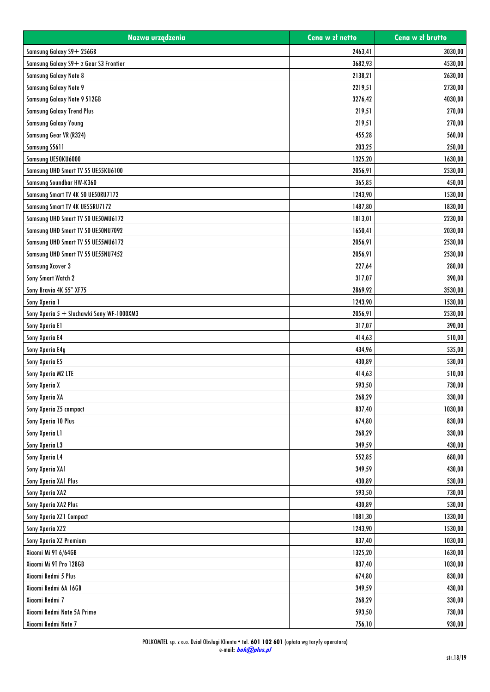| Nazwa urządzenia                          | Cena w zł netto | Cena w zł brutto |
|-------------------------------------------|-----------------|------------------|
| Samsung Galaxy S9+ 256GB                  | 2463,41         | 3030,00          |
| Samsung Galaxy S9+ z Gear S3 Frontier     | 3682,93         | 4530,00          |
| Samsung Galaxy Note 8                     | 2138,21         | 2630,00          |
| Samsung Galaxy Note 9                     | 2219,51         | 2730,00          |
| Samsung Galaxy Note 9 512GB               | 3276,42         | 4030,00          |
| <b>Samsung Galaxy Trend Plus</b>          | 219,51          | 270,00           |
| <b>Samsung Galaxy Young</b>               | 219,51          | 270,00           |
| Samsung Gear VR (R324)                    | 455,28          | 560,00           |
| Samsung S5611                             | 203,25          | 250,00           |
| Samsung UE50KU6000                        | 1325,20         | 1630,00          |
| Samsung UHD Smart TV 55 UE55KU6100        | 2056,91         | 2530,00          |
| Samsung Soundbar HW-K360                  | 365,85          | 450,00           |
| Samsung Smart TV 4K 50 UE50RU7172         | 1243,90         | 1530,00          |
| Samsung Smart TV 4K UE55RU7172            | 1487,80         | 1830,00          |
| Samsung UHD Smart TV 50 UE50MU6172        | 1813,01         | 2230,00          |
| Samsung UHD Smart TV 50 UE50NU7092        | 1650,41         | 2030,00          |
| Samsung UHD Smart TV 55 UE55MU6172        | 2056,91         | 2530,00          |
| Samsung UHD Smart TV 55 UE55NU7452        | 2056,91         | 2530,00          |
| <b>Samsung Xcover 3</b>                   | 227,64          | 280,00           |
| Sony Smart Watch 2                        | 317,07          | 390,00           |
| Sony Bravia 4K 55" XF75                   | 2869,92         | 3530,00          |
| Sony Xperia 1                             | 1243,90         | 1530,00          |
| Sony Xperia 5 + Słuchawki Sony WF-1000XM3 | 2056,91         | 2530,00          |
| Sony Xperia El                            | 317,07          | 390,00           |
| Sony Xperia E4                            | 414,63          | 510,00           |
| Sony Xperia E4g                           | 434,96          | 535,00           |
| Sony Xperia E5                            | 430,89          | 530,00           |
| Sony Xperia M2 LTE                        | 414,63          | 510,00           |
| Sony Xperia X                             | 593,50          | 730,00           |
| Sony Xperia XA                            | 268,29          | 330,00           |
| Sony Xperia Z5 compact                    | 837,40          | 1030,00          |
| Sony Xperia 10 Plus                       | 674,80          | 830,00           |
| Sony Xperia L1                            | 268,29          | 330,00           |
| Sony Xperia L3                            | 349,59          | 430,00           |
| Sony Xperia L4                            | 552,85          | 680,00           |
|                                           | 349,59          |                  |
| Sony Xperia XA1                           |                 | 430,00           |
| Sony Xperia XA1 Plus                      | 430,89          | 530,00           |
| Sony Xperia XA2                           | 593,50          | 730,00           |
| Sony Xperia XA2 Plus                      | 430,89          | 530,00           |
| Sony Xperia XZ1 Compact                   | 1081,30         | 1330,00          |
| Sony Xperia XZ2                           | 1243,90         | 1530,00          |
| Sony Xperia XZ Premium                    | 837,40          | 1030,00          |
| Xiaomi Mi 9T 6/64GB                       | 1325,20         | 1630,00          |
| Xiaomi Mi 9T Pro 128GB                    | 837,40          | 1030,00          |
| Xiaomi Redmi 5 Plus                       | 674,80          | 830,00           |
| Xiaomi Redmi 6A 16GB                      | 349,59          | 430,00           |
| Xiaomi Redmi 7                            | 268,29          | 330,00           |
| Xiaomi Redmi Note 5A Prime                | 593,50          | 730,00           |
| Xiaomi Redmi Note 7                       | 756,10          | 930,00           |